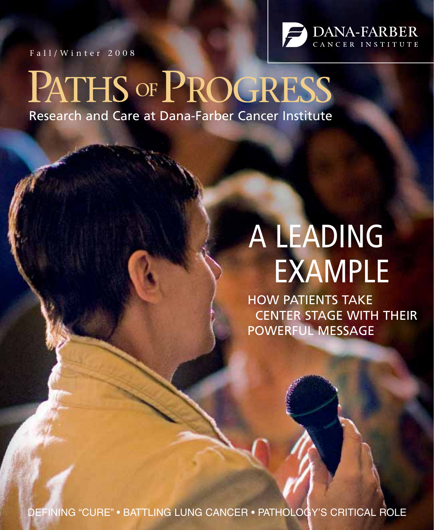Fall/Winter 2008



# PATHS OF PROGRESS

Research and Care at Dana-Farber Cancer Institute

# A LEADING EXAMPLE

HOW PATIENTS TAKE CENTER STAGE WITH THEIR POWERFUL MESSAGE

DEFINING "CURE" • BATTLING LUNG CANCER • PATHOLOGY'S CRITICAL ROLE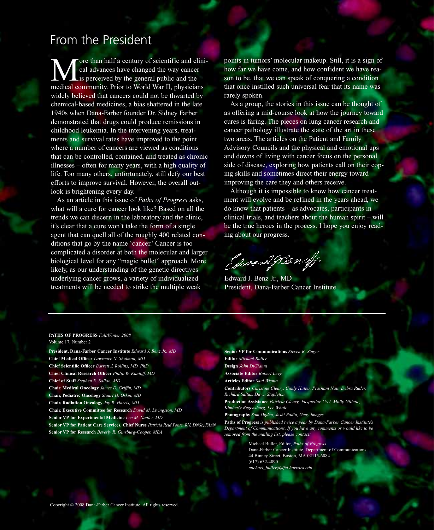### From the President

ore than half a century of scientific and clinical advances have changed the way cancer Lis perceived by the general public and the medical community. Prior to World War II, physicians widely believed that cancers could not be thwarted by chemical-based medicines, a bias shattered in the late 1940s when Dana-Farber founder Dr. Sidney Farber demonstrated that drugs could produce remissions in childhood leukemia. In the intervening years, treatments and survival rates have improved to the point where a number of cancers are viewed as conditions that can be controlled, contained, and treated as chronic illnesses – often for many years, with a high quality of life. Too many others, unfortunately, still defy our best efforts to improve survival. However, the overall outlook is brightening every day.

As an article in this issue of *Paths of Progress* asks, what will a cure for cancer look like? Based on all the trends we can discern in the laboratory and the clinic, it's clear that a cure won't take the form of a single agent that can quell all of the roughly 400 related conditions that go by the name 'cancer.' Cancer is too complicated a disorder at both the molecular and larger biological level for any "magic bullet" approach. More likely, as our understanding of the genetic directives underlying cancer grows, a variety of individualized treatments will be needed to strike the multiple weak

points in tumors' molecular makeup. Still, it is a sign of how far we have come, and how confident we have reason to be, that we can speak of conquering a condition that once instilled such universal fear that its name was rarely spoken.

As a group, the stories in this issue can be thought of as offering a mid-course look at how the journey toward cures is faring. The pieces on lung cancer research and cancer pathology illustrate the state of the art in these two areas. The articles on the Patient and Family Advisory Councils and the physical and emotional ups and downs of living with cancer focus on the personal side of disease, exploring how patients call on their coping skills and sometimes direct their energy toward improving the care they and others receive.

Although it is impossible to know how cancer treatment will evolve and be refined in the years ahead, we do know that patients – as advocates, participants in clinical trials, and teachers about the human spirit – will be the true heroes in the process. I hope you enjoy reading about our progress.

Eswood Man off.

Edward J. Benz Jr., MD President, Dana-Farber Cancer Institute

#### **PATHS OF PROGRESS** *Fall/Winter 2008* Volume 17, Number 2

**President, Dana-Farber Cancer Institute** *Edward J. Benz Jr., MD* **Chief Medical Officer** *Lawrence N. Shulman, MD* **Chief Scientific Officer** *Barrett J. Rollins, MD, PhD* **Chief Clinical Research Officer** *Philip W. Kantoff, MD* **Chief of Staff** *Stephen E. Sallan, MD* **Chair, Medical Oncology** *James D. Griffin, MD* **Chair, Pediatric Oncology** *Stuart H. Orkin, MD* **Chair, Radiation Oncology** *Jay R. Harris, MD* **Chair, Executive Committee for Research** *David M. Livingston, MD* **Senior VP for Experimental Medicine** *Lee M. Nadler, MD* **Senior VP for Patient Care Services, Chief Nurse** *Patricia Reid Ponte, RN, DNSc, FAAN* **Senior VP for Research** *Beverly R. Ginsburg-Cooper, MBA*

| <b>Senior VP for Communications</b> Steven R. Singer                                                                         |
|------------------------------------------------------------------------------------------------------------------------------|
| <b>Editor</b> Michael Buller                                                                                                 |
| Design John DiGianni                                                                                                         |
| <b>Associate Editor Robert Levy</b>                                                                                          |
| <b>Articles Editor</b> Saul Wisnia                                                                                           |
| <b>Contributors</b> Christine Cleary, Cindy Hutter, Prashant Nair, Debra Ruder,<br>Richard Saltus, Dawn Stapleton            |
| Production Assistance Patricia Cleary, Jacqueline Czel, Molly Gillette,<br>Kimberly Regensburg, Lee Whale                    |
| <b>Photography</b> Sam Ogden, Joshi Radin, Getty Images                                                                      |
| Paths of Progress is published twice a year by Dana-Farber Cancer Institute's                                                |
| Department of Communications. If you have any comments or would like to be<br>removed from the mailing list, please contact: |
| $M_{\rm tot}$ . In $M_{\rm tot}$ is the indice $D_{\rm tot}$ is the inter-                                                   |

Michael Buller, Editor, *Paths of Progress* Dana-Farber Cancer Institute, Department of Communications 44 Binney Street, Boston, MA 02115-6084 (617) 632-4090 *michael\_buller@dfci.harvard.edu*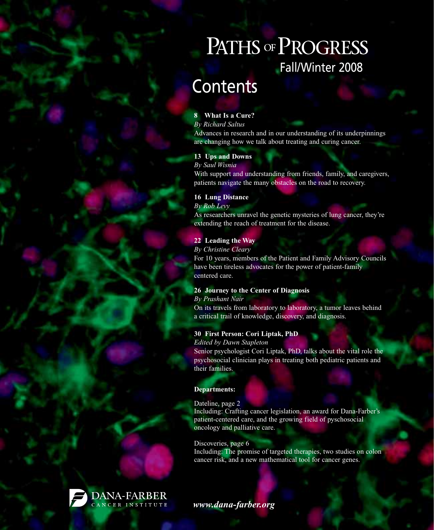# PATHS OF PROGRESS Fall/Winter 2008

# **Contents**

#### **8 What Is a Cure?**

*By Richard Saltus* Advances in research and in our understanding of its underpinnings are changing how we talk about treating and curing cancer.

#### **13 Ups and Downs**

*By Saul Wisnia* With support and understanding from friends, family, and caregivers, patients navigate the many obstacles on the road to recovery.

#### **16 Lung Distance**

*By Rob Levy*

As researchers unravel the genetic mysteries of lung cancer, they're extending the reach of treatment for the disease.

#### **22 Leading the Way**

*By Christine Cleary*

For 10 years, members of the Patient and Family Advisory Councils have been tireless advocates for the power of patient-family centered care.

#### **26 Journey to the Center of Diagnosis**

*By Prashant Nair*

On its travels from laboratory to laboratory, a tumor leaves behind a critical trail of knowledge, discovery, and diagnosis.

#### **30 First Person: Cori Liptak, PhD**

#### *Edited by Dawn Stapleton*

Senior psychologist Cori Liptak, PhD, talks about the vital role the psychosocial clinician plays in treating both pediatric patients and their families.

#### **Departments:**

#### Dateline, page 2

Including: Crafting cancer legislation, an award for Dana-Farber's patient-centered care, and the growing field of pyschosocial oncology and palliative care.

#### Discoveries, page 6

Including: The promise of targeted therapies, two studies on colon cancer risk, and a new mathematical tool for cancer genes.



*www.dana-farber.org*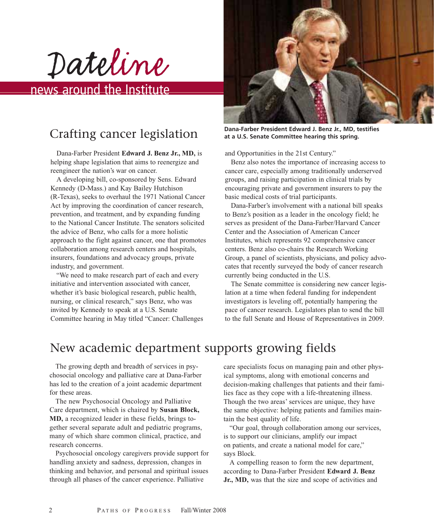Dateline

### news around the Institute

### Crafting cancer legislation

Dana-Farber President **Edward J. Benz Jr., MD,** is helping shape legislation that aims to reenergize and reengineer the nation's war on cancer.

A developing bill, co-sponsored by Sens. Edward Kennedy (D-Mass.) and Kay Bailey Hutchison (R-Texas), seeks to overhaul the 1971 National Cancer Act by improving the coordination of cancer research, prevention, and treatment, and by expanding funding to the National Cancer Institute. The senators solicited the advice of Benz, who calls for a more holistic approach to the fight against cancer, one that promotes collaboration among research centers and hospitals, insurers, foundations and advocacy groups, private industry, and government.

"We need to make research part of each and every initiative and intervention associated with cancer, whether it's basic biological research, public health, nursing, or clinical research," says Benz, who was invited by Kennedy to speak at a U.S. Senate Committee hearing in May titled "Cancer: Challenges



**Dana-Farber President Edward J. Benz Jr., MD, testifies at a U.S. Senate Committee hearing this spring.**

and Opportunities in the 21st Century."

Benz also notes the importance of increasing access to cancer care, especially among traditionally underserved groups, and raising participation in clinical trials by encouraging private and government insurers to pay the basic medical costs of trial participants.

Dana-Farber's involvement with a national bill speaks to Benz's position as a leader in the oncology field; he serves as president of the Dana-Farber/Harvard Cancer Center and the Association of American Cancer Institutes, which represents 92 comprehensive cancer centers. Benz also co-chairs the Research Working Group, a panel of scientists, physicians, and policy advocates that recently surveyed the body of cancer research currently being conducted in the U.S.

The Senate committee is considering new cancer legislation at a time when federal funding for independent investigators is leveling off, potentially hampering the pace of cancer research. Legislators plan to send the bill to the full Senate and House of Representatives in 2009.

### New academic department supports growing fields

The growing depth and breadth of services in psychosocial oncology and palliative care at Dana-Farber has led to the creation of a joint academic department for these areas.

The new Psychosocial Oncology and Palliative Care department, which is chaired by **Susan Block, MD,** a recognized leader in these fields, brings together several separate adult and pediatric programs, many of which share common clinical, practice, and research concerns.

Psychosocial oncology caregivers provide support for handling anxiety and sadness, depression, changes in thinking and behavior, and personal and spiritual issues through all phases of the cancer experience. Palliative

care specialists focus on managing pain and other physical symptoms, along with emotional concerns and decision-making challenges that patients and their families face as they cope with a life-threatening illness. Though the two areas' services are unique, they have the same objective: helping patients and families maintain the best quality of life.

"Our goal, through collaboration among our services, is to support our clinicians, amplify our impact on patients, and create a national model for care," says Block.

A compelling reason to form the new department, according to Dana-Farber President **Edward J. Benz Jr., MD,** was that the size and scope of activities and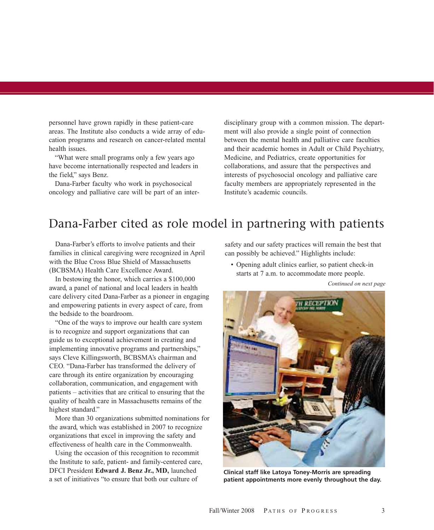personnel have grown rapidly in these patient-care areas. The Institute also conducts a wide array of education programs and research on cancer-related mental health issues.

"What were small programs only a few years ago have become internationally respected and leaders in the field," says Benz.

Dana-Farber faculty who work in psychosocical oncology and palliative care will be part of an interdisciplinary group with a common mission. The department will also provide a single point of connection between the mental health and palliative care faculties and their academic homes in Adult or Child Psychiatry, Medicine, and Pediatrics, create opportunities for collaborations, and assure that the perspectives and interests of psychosocial oncology and palliative care faculty members are appropriately represented in the Institute's academic councils.

### Dana-Farber cited as role model in partnering with patients

Dana-Farber's efforts to involve patients and their families in clinical caregiving were recognized in April with the Blue Cross Blue Shield of Massachusetts (BCBSMA) Health Care Excellence Award.

In bestowing the honor, which carries a \$100,000 award, a panel of national and local leaders in health care delivery cited Dana-Farber as a pioneer in engaging and empowering patients in every aspect of care, from the bedside to the boardroom.

"One of the ways to improve our health care system is to recognize and support organizations that can guide us to exceptional achievement in creating and implementing innovative programs and partnerships," says Cleve Killingsworth, BCBSMA's chairman and CEO. "Dana-Farber has transformed the delivery of care through its entire organization by encouraging collaboration, communication, and engagement with patients – activities that are critical to ensuring that the quality of health care in Massachusetts remains of the highest standard."

More than 30 organizations submitted nominations for the award, which was established in 2007 to recognize organizations that excel in improving the safety and effectiveness of health care in the Commonwealth.

Using the occasion of this recognition to recommit the Institute to safe, patient- and family-centered care, DFCI President **Edward J. Benz Jr., MD,** launched a set of initiatives "to ensure that both our culture of

safety and our safety practices will remain the best that can possibly be achieved." Highlights include:

• Opening adult clinics earlier, so patient check-in starts at 7 a.m. to accommodate more people.

*Continued on next page*



**Clinical staff like Latoya Toney-Morris are spreading patient appointments more evenly throughout the day.**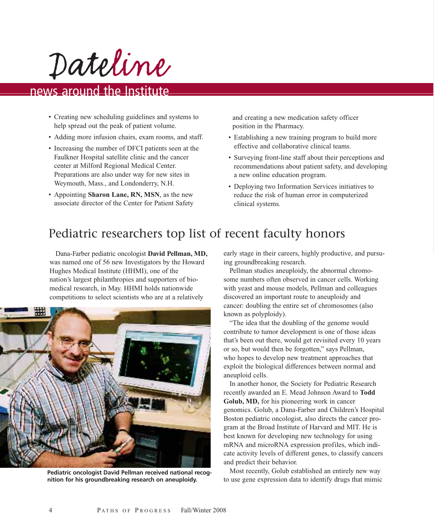Dateline

### news around the Institute

- Creating new scheduling guidelines and systems to help spread out the peak of patient volume.
- Adding more infusion chairs, exam rooms, and staff.
- Increasing the number of DFCI patients seen at the Faulkner Hospital satellite clinic and the cancer center at Milford Regional Medical Center. Preparations are also under way for new sites in Weymouth, Mass., and Londonderry, N.H.
- Appointing **Sharon Lane, RN, MSN**, as the new associate director of the Center for Patient Safety

and creating a new medication safety officer position in the Pharmacy.

- Establishing a new training program to build more effective and collaborative clinical teams.
- Surveying front-line staff about their perceptions and recommendations about patient safety, and developing a new online education program.
- Deploying two Information Services initiatives to reduce the risk of human error in computerized clinical systems.

### Pediatric researchers top list of recent faculty honors

Dana-Farber pediatric oncologist **David Pellman, MD,** was named one of 56 new Investigators by the Howard Hughes Medical Institute (HHMI), one of the nation's largest philanthropies and supporters of biomedical research, in May. HHMI holds nationwide competitions to select scientists who are at a relatively



**Pediatric oncologist David Pellman received national recognition for his groundbreaking research on aneuploidy.**

early stage in their careers, highly productive, and pursuing groundbreaking research.

Pellman studies aneuploidy, the abnormal chromosome numbers often observed in cancer cells. Working with yeast and mouse models, Pellman and colleagues discovered an important route to aneuploidy and cancer: doubling the entire set of chromosomes (also known as polyploidy).

"The idea that the doubling of the genome would contribute to tumor development is one of those ideas that's been out there, would get revisited every 10 years or so, but would then be forgotten," says Pellman, who hopes to develop new treatment approaches that exploit the biological differences between normal and aneuploid cells.

In another honor, the Society for Pediatric Research recently awarded an E. Mead Johnson Award to **Todd Golub, MD,** for his pioneering work in cancer genomics. Golub, a Dana-Farber and Children's Hospital Boston pediatric oncologist, also directs the cancer program at the Broad Institute of Harvard and MIT. He is best known for developing new technology for using mRNA and microRNA expression profiles, which indicate activity levels of different genes, to classify cancers and predict their behavior.

Most recently, Golub established an entirely new way to use gene expression data to identify drugs that mimic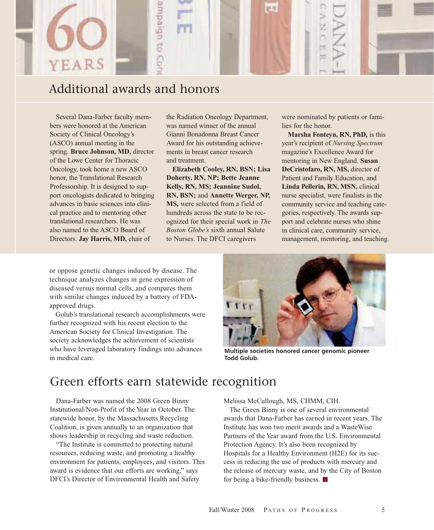

### Additional awards and honors

Several Dana-Farber faculty members were honored at the American Society of Clinical Oncology's (ASCO) annual meeting in the spring. **Bruce Johnson, MD,** director of the Lowe Center for Thoracic Oncology, took home a new ASCO honor, the Translational Research Professorship. It is designed to support oncologists dedicated to bringing advances in basic sciences into clinical practice and to mentoring other translational researchers. He was also named to the ASCO Board of Directors. **Jay Harris, MD,** chair of

the Radiation Oncology Department, was named winner of the annual Gianni Bonadonna Breast Cancer Award for his outstanding achievements in breast cancer research and treatment.

**Elizabeth Cooley, RN, BSN; Lisa Doherty, RN, NP; Bette Jeanne Kelly, RN, MS; Jeannine Sudol, RN, BSN;** and **Annette Werger, NP, MS,** were selected from a field of hundreds across the state to be recognized for their special work in *The Boston Globe's* sixth annual Salute to Nurses. The DFCI caregivers

were nominated by patients or families for the honor.

**Marsha Fonteyn, RN, PhD,** is this year's recipient of *Nursing Spectrum* magazine's Excellence Award for mentoring in New England. **Susan DeCristofaro, RN, MS,** director of Patient and Family Education, and **Linda Pellerin, RN, MSN,** clinical nurse specialist, were finalists in the community service and teaching categories, respectively. The awards support and celebrate nurses who shine in clinical care, community service, management, mentoring, and teaching.

or oppose genetic changes induced by disease. The technique analyzes changes in gene expression of diseased versus normal cells, and compares them with similar changes induced by a battery of FDAapproved drugs.

Golub's translational research accomplishments were further recognized with his recent election to the American Society for Clinical Investigation. The society acknowledges the achievement of scientists who have leveraged laboratory findings into advances in medical care.



**Multiple societies honored cancer genomic pioneer Todd Golub.**

### Green efforts earn statewide recognition

Dana-Farber was named the 2008 Green Binny Institutional/Non-Profit of the Year in October. The statewide honor, by the Massachusetts Recycling Coalition, is given annually to an organization that shows leadership in recycling and waste reduction.

"The Institute is committed to protecting natural resources, reducing waste, and promoting a healthy environment for patients, employees, and visitors. This award is evidence that our efforts are working," says DFCI's Director of Environmental Health and Safety

Melissa McCullough, MS, CHMM, CIH.

The Green Binny is one of several environmental awards that Dana-Farber has earned in recent years. The Institute has won two merit awards and a WasteWise Partners of the Year award from the U.S. Environmental Protection Agency. It's also been recognized by Hospitals for a Healthy Environment (H2E) for its success in reducing the use of products with mercury and the release of mercury waste, and by the City of Boston for being a bike-friendly business.  $\blacksquare$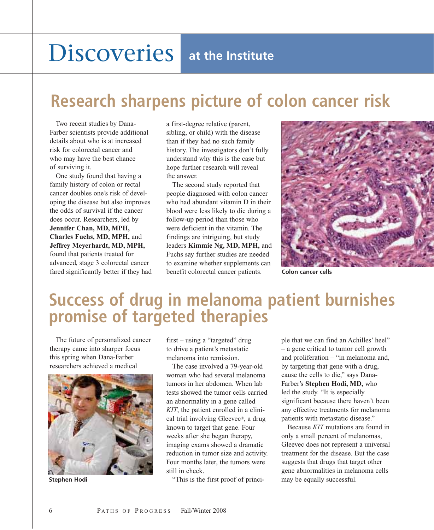# **Discoveries** at the Institute

# **Research sharpens picture of colon cancer risk**

Two recent studies by Dana-Farber scientists provide additional details about who is at increased risk for colorectal cancer and who may have the best chance of surviving it.

One study found that having a family history of colon or rectal cancer doubles one's risk of developing the disease but also improves the odds of survival if the cancer does occur. Researchers, led by **Jennifer Chan, MD, MPH, Charles Fuchs, MD, MPH,** and **Jeffrey Meyerhardt, MD, MPH,** found that patients treated for advanced, stage 3 colorectal cancer fared significantly better if they had a first-degree relative (parent, sibling, or child) with the disease than if they had no such family history. The investigators don't fully understand why this is the case but hope further research will reveal the answer.

The second study reported that people diagnosed with colon cancer who had abundant vitamin D in their blood were less likely to die during a follow-up period than those who were deficient in the vitamin. The findings are intriguing, but study leaders **Kimmie Ng, MD, MPH,** and Fuchs say further studies are needed to examine whether supplements can benefit colorectal cancer patients. **Colon cancer cells**



# **Success of drug in melanoma patient burnishes promise of targeted therapies**

The future of personalized cancer therapy came into sharper focus this spring when Dana-Farber researchers achieved a medical



first – using a "targeted" drug to drive a patient's metastatic melanoma into remission.

The case involved a 79-year-old woman who had several melanoma tumors in her abdomen. When lab tests showed the tumor cells carried an abnormality in a gene called *KIT*, the patient enrolled in a clinical trial involving Gleevec®, a drug known to target that gene. Four weeks after she began therapy, imaging exams showed a dramatic reduction in tumor size and activity. Four months later, the tumors were still in check.

**Stephen Hodi may Stephen Hodi** may be equally successful.

ple that we can find an Achilles' heel" – a gene critical to tumor cell growth and proliferation – "in melanoma and, by targeting that gene with a drug, cause the cells to die," says Dana-Farber's **Stephen Hodi, MD,** who led the study. "It is especially significant because there haven't been any effective treatments for melanoma patients with metastatic disease."

Because *KIT* mutations are found in only a small percent of melanomas, Gleevec does not represent a universal treatment for the disease. But the case suggests that drugs that target other gene abnormalities in melanoma cells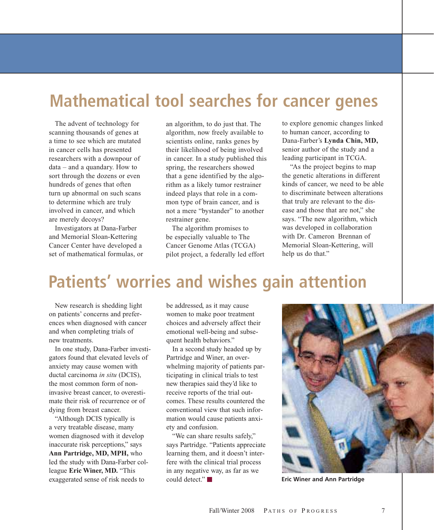# **Mathematical tool searches for cancer genes**

The advent of technology for scanning thousands of genes at a time to see which are mutated in cancer cells has presented researchers with a downpour of data – and a quandary. How to sort through the dozens or even hundreds of genes that often turn up abnormal on such scans to determine which are truly involved in cancer, and which are merely decoys?

Investigators at Dana-Farber and Memorial Sloan-Kettering Cancer Center have developed a set of mathematical formulas, or an algorithm, to do just that. The algorithm, now freely available to scientists online, ranks genes by their likelihood of being involved in cancer. In a study published this spring, the researchers showed that a gene identified by the algorithm as a likely tumor restrainer indeed plays that role in a common type of brain cancer, and is not a mere "bystander" to another restrainer gene.

The algorithm promises to be especially valuable to The Cancer Genome Atlas (TCGA) pilot project, a federally led effort to explore genomic changes linked to human cancer, according to Dana-Farber's **Lynda Chin, MD,** senior author of the study and a leading participant in TCGA.

"As the project begins to map the genetic alterations in different kinds of cancer, we need to be able to discriminate between alterations that truly are relevant to the disease and those that are not," she says. "The new algorithm, which was developed in collaboration with Dr. Cameron Brennan of Memorial Sloan-Kettering, will help us do that."

# **Patients' worries and wishes gain attention**

New research is shedding light on patients' concerns and preferences when diagnosed with cancer and when completing trials of new treatments.

In one study, Dana-Farber investigators found that elevated levels of anxiety may cause women with ductal carcinoma *in situ* (DCIS), the most common form of noninvasive breast cancer, to overestimate their risk of recurrence or of dying from breast cancer.

"Although DCIS typically is a very treatable disease, many women diagnosed with it develop inaccurate risk perceptions," says **Ann Partridge, MD, MPH,** who led the study with Dana-Farber colleague **Eric Winer, MD.** "This exaggerated sense of risk needs to

be addressed, as it may cause women to make poor treatment choices and adversely affect their emotional well-being and subsequent health behaviors."

In a second study headed up by Partridge and Winer, an overwhelming majority of patients participating in clinical trials to test new therapies said they'd like to receive reports of the trial outcomes. These results countered the conventional view that such information would cause patients anxiety and confusion.

"We can share results safely," says Partridge. "Patients appreciate learning them, and it doesn't interfere with the clinical trial process in any negative way, as far as we could detect."



**Eric Winer and Ann Partridge**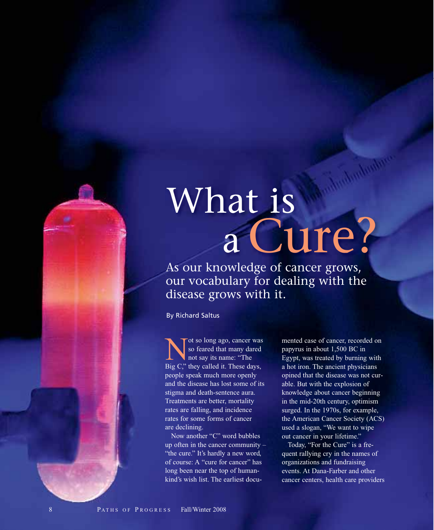# What is aCure?

As our knowledge of cancer grows, our vocabulary for dealing with the disease grows with it.

By Richard Saltus

Not so long ago, cancer was<br>so feared that many dared<br>not say its name: "The<br>Rig C" they called it These days so feared that many dared not say its name: "The Big C," they called it. These days, people speak much more openly and the disease has lost some of its stigma and death-sentence aura. Treatments are better, mortality rates are falling, and incidence rates for some forms of cancer are declining.

Now another "C" word bubbles up often in the cancer community – "the cure." It's hardly a new word, of course: A "cure for cancer" has long been near the top of humankind's wish list. The earliest documented case of cancer, recorded on papyrus in about 1,500 BC in Egypt, was treated by burning with a hot iron. The ancient physicians opined that the disease was not curable. But with the explosion of knowledge about cancer beginning in the mid-20th century, optimism surged. In the 1970s, for example, the American Cancer Society (ACS) used a slogan, "We want to wipe out cancer in your lifetime."

Today, "For the Cure" is a frequent rallying cry in the names of organizations and fundraising events. At Dana-Farber and other cancer centers, health care providers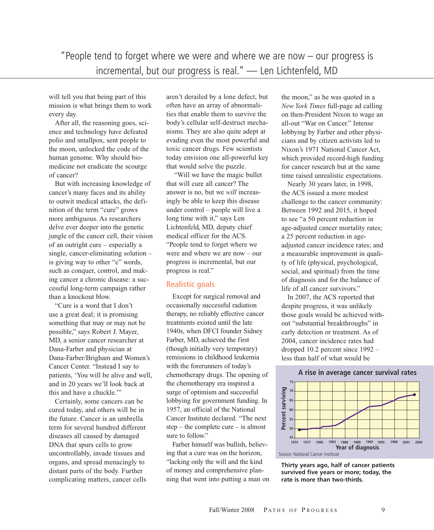"People tend to forget where we were and where we are now – our progress is incremental, but our progress is real." — Len Lichtenfeld, MD

will tell you that being part of this mission is what brings them to work every day.

After all, the reasoning goes, science and technology have defeated polio and smallpox, sent people to the moon, unlocked the code of the human genome. Why should biomedicine not eradicate the scourge of cancer?

But with increasing knowledge of cancer's many faces and its ability to outwit medical attacks, the definition of the term "cure" grows more ambiguous. As researchers delve ever deeper into the genetic jungle of the cancer cell, their vision of an outright cure – especially a single, cancer-eliminating solution – is giving way to other "c" words, such as conquer, control, and making cancer a chronic disease: a successful long-term campaign rather than a knockout blow.

"Cure is a word that I don't use a great deal; it is promising something that may or may not be possible," says Robert J. Mayer, MD, a senior cancer researcher at Dana-Farber and physician at Dana-Farber/Brigham and Women's Cancer Center. "Instead I say to patients, 'You will be alive and well, and in 20 years we'll look back at this and have a chuckle.'"

Certainly, some cancers can be cured today, and others will be in the future. Cancer is an umbrella term for several hundred different diseases all caused by damaged DNA that spurs cells to grow uncontrollably, invade tissues and organs, and spread menacingly to distant parts of the body. Further complicating matters, cancer cells

aren't derailed by a lone defect, but often have an array of abnormalities that enable them to survive the body's cellular self-destruct mechanisms. They are also quite adept at evading even the most powerful and toxic cancer drugs. Few scientists today envision one all-powerful key that would solve the puzzle.

"Will we have the magic bullet that will cure all cancer? The answer is no, but we *will* increasingly be able to keep this disease under control – people will live a long time with it," says Len Lichtenfeld, MD, deputy chief medical officer for the ACS. "People tend to forget where we were and where we are now – our progress is incremental, but our progress is real."

#### **Realistic goals**

Except for surgical removal and occasionally successful radiation therapy, no reliably effective cancer treatments existed until the late 1940s, when DFCI founder Sidney Farber, MD, achieved the first (though initially very temporary) remissions in childhood leukemia with the forerunners of today's chemotherapy drugs. The opening of the chemotherapy era inspired a surge of optimism and successful lobbying for government funding. In 1957, an official of the National Cancer Institute declared: "The next step – the complete cure – is almost sure to follow."

Farber himself was bullish, believing that a cure was on the horizon, "lacking only the will and the kind of money and comprehensive planning that went into putting a man on the moon," as he was quoted in a *New York Times* full-page ad calling on then-President Nixon to wage an all-out "War on Cancer." Intense lobbying by Farber and other physicians and by citizen activists led to Nixon's 1971 National Cancer Act, which provided record-high funding for cancer research but at the same time raised unrealistic expectations.

Nearly 30 years later, in 1998, the ACS issued a more modest challenge to the cancer community: Between 1992 and 2015, it hoped to see "a 50 percent reduction in age-adjusted cancer mortality rates; a 25 percent reduction in ageadjusted cancer incidence rates; and a measurable improvement in quality of life (physical, psychological, social, and spiritual) from the time of diagnosis and for the balance of life of all cancer survivors."

In 2007, the ACS reported that despite progress, it was unlikely those goals would be achieved without "substantial breakthroughs" in early detection or treatment. As of 2004, cancer incidence rates had dropped 10.2 percent since 1992 – less than half of what would be



Source: National Cancer Institute

**Thirty years ago, half of cancer patients survived five years or more; today, the rate is more than two-thirds.**

#### **A rise in average cancer survival rates**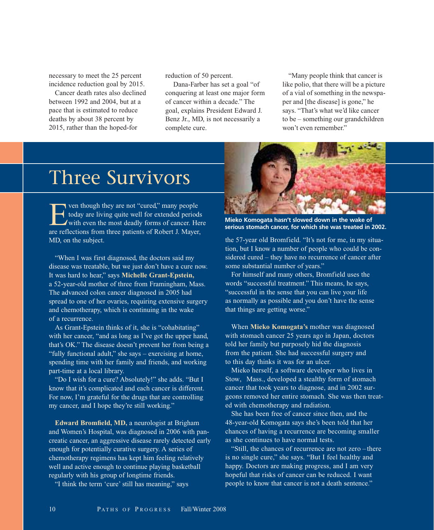necessary to meet the 25 percent incidence reduction goal by 2015.

Cancer death rates also declined between 1992 and 2004, but at a pace that is estimated to reduce deaths by about 38 percent by 2015, rather than the hoped-for

reduction of 50 percent.

Dana-Farber has set a goal "of conquering at least one major form of cancer within a decade." The goal, explains President Edward J. Benz Jr., MD, is not necessarily a complete cure.

"Many people think that cancer is like polio, that there will be a picture of a vial of something in the newspaper and [the disease] is gone," he says. "That's what we'd like cancer to be – something our grandchildren won't even remember"

# Three Survivors

For though they are not "cured," many people<br>today are living quite well for extended period<br>with even the most deadly forms of cancer. Have today are living quite well for extended periods with even the most deadly forms of cancer. Here are reflections from three patients of Robert J. Mayer, MD, on the subject.

"When I was first diagnosed, the doctors said my disease was treatable, but we just don't have a cure now. It was hard to hear," says **Michelle Grant-Epstein,** a 52-year-old mother of three from Framingham, Mass. The advanced colon cancer diagnosed in 2005 had spread to one of her ovaries, requiring extensive surgery and chemotherapy, which is continuing in the wake of a recurrence.

As Grant-Epstein thinks of it, she is "cohabitating" with her cancer, "and as long as I've got the upper hand, that's OK." The disease doesn't prevent her from being a "fully functional adult," she says – exercising at home, spending time with her family and friends, and working part-time at a local library.

"Do I wish for a cure? Absolutely!" she adds. "But I know that it's complicated and each cancer is different. For now, I'm grateful for the drugs that are controlling my cancer, and I hope they're still working."

**Edward Bromfield, MD,** a neurologist at Brigham and Women's Hospital, was diagnosed in 2006 with pancreatic cancer, an aggressive disease rarely detected early enough for potentially curative surgery. A series of chemotherapy regimens has kept him feeling relatively well and active enough to continue playing basketball regularly with his group of longtime friends.

"I think the term 'cure' still has meaning," says



**Mieko Komogata hasn't slowed down in the wake of serious stomach cancer, for which she was treated in 2002.**

the 57-year old Bromfield. "It's not for me, in my situation, but I know a number of people who could be considered cured – they have no recurrence of cancer after some substantial number of years."

For himself and many others, Bromfield uses the words "successful treatment." This means, he says, "successful in the sense that you can live your life as normally as possible and you don't have the sense that things are getting worse."

When **Mieko Komogata's** mother was diagnosed with stomach cancer 25 years ago in Japan, doctors told her family but purposely hid the diagnosis from the patient. She had successful surgery and to this day thinks it was for an ulcer.

Mieko herself, a software developer who lives in Stow, Mass., developed a stealthy form of stomach cancer that took years to diagnose, and in 2002 surgeons removed her entire stomach. She was then treated with chemotherapy and radiation.

She has been free of cancer since then, and the 48-year-old Komogata says she's been told that her chances of having a recurrence are becoming smaller as she continues to have normal tests.

"Still, the chances of recurrence are not zero –there is no single cure," she says. "But I feel healthy and happy. Doctors are making progress, and I am very hopeful that risks of cancer can be reduced. I want people to know that cancer is not a death sentence."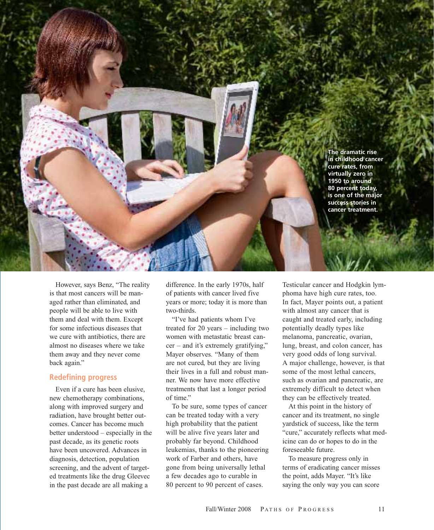**The dramatic rise in childhood cancer cure rates, from virtually zero in 1950 to around 80 percent today, is one of the major success stories in cancer treatment.**

However, says Benz, "The reality is that most cancers will be managed rather than eliminated, and people will be able to live with them and deal with them. Except for some infectious diseases that we cure with antibiotics, there are almost no diseases where we take them away and they never come back again."

#### **Redefining progress**

Even if a cure has been elusive, new chemotherapy combinations, along with improved surgery and radiation, have brought better outcomes. Cancer has become much better understood – especially in the past decade, as its genetic roots have been uncovered. Advances in diagnosis, detection, population screening, and the advent of targeted treatments like the drug Gleevec in the past decade are all making a

difference. In the early 1970s, half of patients with cancer lived five years or more; today it is more than two-thirds.

"I've had patients whom I've treated for 20 years – including two women with metastatic breast cancer – and it's extremely gratifying," Mayer observes. "Many of them are not cured, but they are living their lives in a full and robust manner. We now have more effective treatments that last a longer period of time."

To be sure, some types of cancer can be treated today with a very high probability that the patient will be alive five years later and probably far beyond. Childhood leukemias, thanks to the pioneering work of Farber and others, have gone from being universally lethal a few decades ago to curable in 80 percent to 90 percent of cases.

Testicular cancer and Hodgkin lymphoma have high cure rates, too. In fact, Mayer points out, a patient with almost any cancer that is caught and treated early, including potentially deadly types like melanoma, pancreatic, ovarian, lung, breast, and colon cancer, has very good odds of long survival. A major challenge, however, is that some of the most lethal cancers, such as ovarian and pancreatic, are extremely difficult to detect when they can be effectively treated.

At this point in the history of cancer and its treatment, no single yardstick of success, like the term "cure," accurately reflects what medicine can do or hopes to do in the foreseeable future.

To measure progress only in terms of eradicating cancer misses the point, adds Mayer. "It's like saying the only way you can score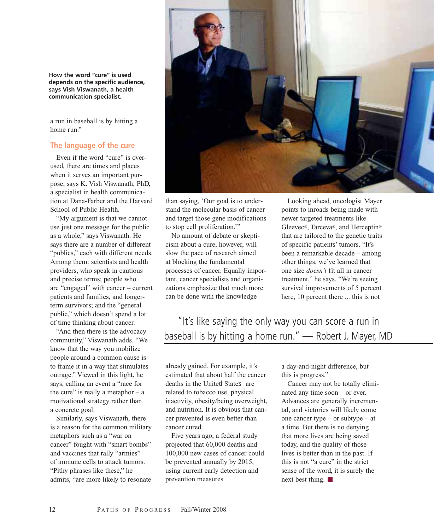**How the word "cure" is used depends on the specific audience, says Vish Viswanath, a health communication specialist.**

a run in baseball is by hitting a home run."

#### **The language of the cure**

Even if the word "cure" is overused, there are times and places when it serves an important purpose, says K. Vish Viswanath, PhD, a specialist in health communication at Dana-Farber and the Harvard School of Public Health.

"My argument is that we cannot use just one message for the public as a whole," says Viswanath. He says there are a number of different "publics," each with different needs. Among them: scientists and health providers, who speak in cautious and precise terms; people who are "engaged" with cancer – current patients and families, and longerterm survivors; and the "general public," which doesn't spend a lot of time thinking about cancer.

"And then there is the advocacy community," Viswanath adds. "We know that the way you mobilize people around a common cause is to frame it in a way that stimulates outrage." Viewed in this light, he says, calling an event a "race for the cure" is really a metaphor  $- a$ motivational strategy rather than a concrete goal.

Similarly, says Viswanath, there is a reason for the common military metaphors such as a "war on cancer" fought with "smart bombs" and vaccines that rally "armies" of immune cells to attack tumors. "Pithy phrases like these," he admits, "are more likely to resonate



than saying, 'Our goal is to understand the molecular basis of cancer and target those gene modifications to stop cell proliferation.'"

No amount of debate or skepticism about a cure, however, will slow the pace of research aimed at blocking the fundamental processes of cancer. Equally important, cancer specialists and organizations emphasize that much more can be done with the knowledge

Looking ahead, oncologist Mayer points to inroads being made with newer targeted treatments like Gleevec®, Tarceva®, and Herceptin® that are tailored to the genetic traits of specific patients' tumors. "It's been a remarkable decade – among other things, we've learned that one size *doesn't* fit all in cancer treatment," he says. "We're seeing survival improvements of 5 percent here, 10 percent there ... this is not

### "It's like saying the only way you can score a run in baseball is by hitting a home run." — Robert J. Mayer, MD

already gained. For example, it's estimated that about half the cancer deaths in the United States are related to tobacco use, physical inactivity, obesity/being overweight, and nutrition. It is obvious that cancer prevented is even better than cancer cured.

Five years ago, a federal study projected that 60,000 deaths and 100,000 new cases of cancer could be prevented annually by 2015, using current early detection and prevention measures.

a day-and-night difference, but this is progress."

Cancer may not be totally eliminated any time soon – or ever. Advances are generally incremental, and victories will likely come one cancer type – or subtype – at a time. But there is no denying that more lives are being saved today, and the quality of those lives is better than in the past. If this is not "a cure" in the strict sense of the word, it is surely the next best thing.  $\blacksquare$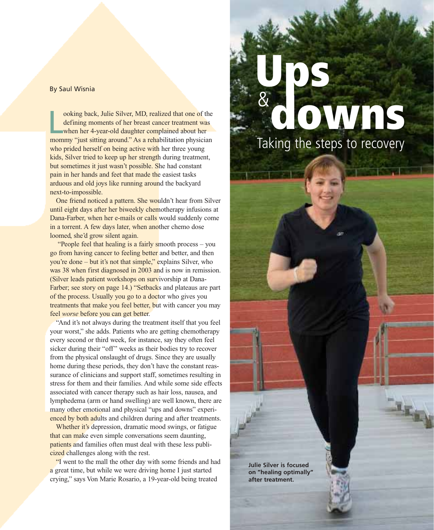#### By Saul Wisnia

ooking back, Julie Silver, MD, realized that one of the defining moments of her breast cancer treatment was when her 4-year-old daughter complained about her mommy "just sitting around." As a rehabilitation physician ooking back, Julie Silver, MD, realized that one of the defining moments of her breast cancer treatment was when her 4-year-old daughter complained about her who prided herself on being active with her three young kids, Silver tried to keep up her strength during treatment, but sometimes it just wasn't possible. She had constant pain in her hands and feet that made the easiest tasks arduous and old joys like running around the backyard next-to-impossible.

One friend noticed a pattern. She wouldn't hear from Silver until eight days after her biweekly chemotherapy infusions at Dana-Farber, when her e-mails or calls would suddenly come in a torrent. A few days later, when another chemo dose loomed, she'd grow silent again.

"People feel that healing is a fairly smooth process – you go from having cancer to feeling better and better, and then you're done – but it's not that simple," explains Silver, who was 38 when first diagnosed in 2003 and is now in remission. (Silver leads patient workshops on survivorship at Dana-Farber; see story on page 14.) "Setbacks and plateaus are part of the process. Usually you go to a doctor who gives you treatments that make you feel better, but with cancer you may feel *worse* before you can get better.

"And it's not always during the treatment itself that you feel your worst," she adds. Patients who are getting chemotherapy every second or third week, for instance, say they often feel sicker during their "off" weeks as their bodies try to recover from the physical onslaught of drugs. Since they are usually home during these periods, they don't have the constant reassurance of clinicians and support staff, sometimes resulting in stress for them and their families. And while some side effects associated with cancer therapy such as hair loss, nausea, and lymphedema (arm or hand swelling) are well known, there are many other emotional and physical "ups and downs" experienced by both adults and children during and after treatments.

Whether it's depression, dramatic mood swings, or fatigue that can make even simple conversations seem daunting, patients and families often must deal with these less publicized challenges along with the rest.

"I went to the mall the other day with some friends and had a great time, but while we were driving home I just started crying," says Von Marie Rosario, a 19-year-old being treated

# **downs Ups** & Taking the steps to recovery

**Julie Silver is focused on "healing optimally" after treatment.**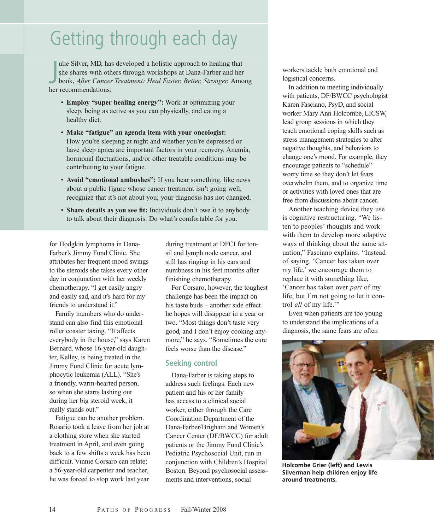# Getting through each day

J ulie Silver, MD, has developed a holistic approach to healing that she shares with others through workshops at Dana-Farber and her book, *After Cancer Treatment: Heal Faster, Better, Stronger.* Among her recommendations:

- **Employ "super healing energy":** Work at optimizing your sleep, being as active as you can physically, and eating a healthy diet.
- **Make "fatigue" an agenda item with your oncologist:** How you're sleeping at night and whether you're depressed or have sleep apnea are important factors in your recovery. Anemia, hormonal fluctuations, and/or other treatable conditions may be contributing to your fatigue.
- **Avoid "emotional ambushes":** If you hear something, like news about a public figure whose cancer treatment isn't going well, recognize that it's not about you; your diagnosis has not changed.
- **Share details as you see fit:** Individuals don't owe it to anybody to talk about their diagnosis. Do what's comfortable for you.

for Hodgkin lymphoma in Dana-Farber's Jimmy Fund Clinic. She attributes her frequent mood swings to the steroids she takes every other day in conjunction with her weekly chemotherapy. "I get easily angry and easily sad, and it's hard for my friends to understand it."

Family members who do understand can also find this emotional roller coaster taxing. "It affects everybody in the house," says Karen Bernard, whose 16-year-old daughter, Kelley, is being treated in the Jimmy Fund Clinic for acute lymphocytic leukemia (ALL). "She's a friendly, warm-hearted person, so when she starts lashing out during her big steroid week, it really stands out."

Fatigue can be another problem. Rosario took a leave from her job at a clothing store when she started treatment in April, and even going back to a few shifts a week has been difficult. Vinnie Corsaro can relate; a 56-year-old carpenter and teacher, he was forced to stop work last year

during treatment at DFCI for tonsil and lymph node cancer, and still has ringing in his ears and numbness in his feet months after finishing chemotherapy.

For Corsaro, however, the toughest challenge has been the impact on his taste buds – another side effect he hopes will disappear in a year or two. "Most things don't taste very good, and I don't enjoy cooking anymore," he says. "Sometimes the cure feels worse than the disease."

#### **Seeking control**

Dana-Farber is taking steps to address such feelings. Each new patient and his or her family has access to a clinical social worker, either through the Care Coordination Department of the Dana-Farber/Brigham and Women's Cancer Center (DF/BWCC) for adult patients or the Jimmy Fund Clinic's Pediatric Psychosocial Unit, run in conjunction with Children's Hospital Boston. Beyond psychosocial assessments and interventions, social

workers tackle both emotional and logistical concerns.

In addition to meeting individually with patients, DF/BWCC psychologist Karen Fasciano, PsyD, and social worker Mary Ann Holcombe, LICSW, lead group sessions in which they teach emotional coping skills such as stress management strategies to alter negative thoughts, and behaviors to change one's mood. For example, they encourage patients to "schedule" worry time so they don't let fears overwhelm them, and to organize time or activities with loved ones that are free from discussions about cancer.

Another teaching device they use is cognitive restructuring. "We listen to peoples' thoughts and work with them to develop more adaptive ways of thinking about the same situation," Fasciano explains. "Instead of saying, 'Cancer has taken over my life,' we encourage them to replace it with something like, 'Cancer has taken over *part* of my life, but I'm not going to let it control *all* of my life.'"

Even when patients are too young to understand the implications of a diagnosis, the same fears are often



**Holcombe Grier (left) and Lewis Silverman help children enjoy life around treatments.**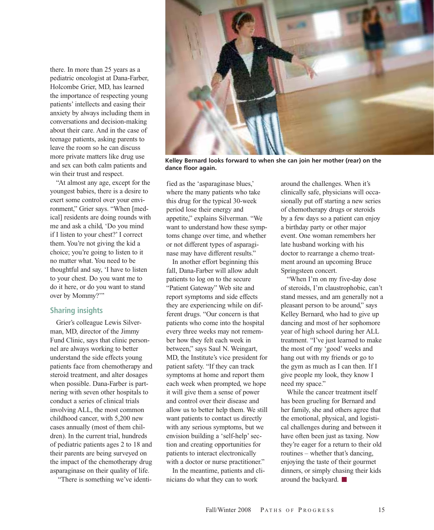there. In more than 25 years as a pediatric oncologist at Dana-Farber, Holcombe Grier, MD, has learned the importance of respecting young patients' intellects and easing their anxiety by always including them in conversations and decision-making about their care. And in the case of teenage patients, asking parents to leave the room so he can discuss more private matters like drug use and sex can both calm patients and win their trust and respect.

"At almost any age, except for the youngest babies, there is a desire to exert some control over your environment," Grier says. "When [medical] residents are doing rounds with me and ask a child, 'Do you mind if I listen to your chest?' I correct them. You're not giving the kid a choice; you're going to listen to it no matter what. You need to be thoughtful and say, 'I have to listen to your chest. Do you want me to do it here, or do you want to stand over by Mommy?"

#### **Sharing insights**

Grier's colleague Lewis Silverman, MD, director of the Jimmy Fund Clinic, says that clinic personnel are always working to better understand the side effects young patients face from chemotherapy and steroid treatment, and alter dosages when possible. Dana-Farber is partnering with seven other hospitals to conduct a series of clinical trials involving ALL, the most common childhood cancer, with 5,200 new cases annually (most of them children). In the current trial, hundreds of pediatric patients ages 2 to 18 and their parents are being surveyed on the impact of the chemotherapy drug asparaginase on their quality of life.

"There is something we've identi-



**Kelley Bernard looks forward to when she can join her mother (rear) on the dance floor again.**

fied as the 'asparaginase blues,' where the many patients who take this drug for the typical 30-week period lose their energy and appetite," explains Silverman. "We want to understand how these symptoms change over time, and whether or not different types of asparaginase may have different results."

In another effort beginning this fall, Dana-Farber will allow adult patients to log on to the secure "Patient Gateway" Web site and report symptoms and side effects they are experiencing while on different drugs. "Our concern is that patients who come into the hospital every three weeks may not remember how they felt each week in between," says Saul N. Weingart, MD, the Institute's vice president for patient safety. "If they can track symptoms at home and report them each week when prompted, we hope it will give them a sense of power and control over their disease and allow us to better help them. We still want patients to contact us directly with any serious symptoms, but we envision building a 'self-help' section and creating opportunities for patients to interact electronically with a doctor or nurse practitioner."

In the meantime, patients and clinicians do what they can to work

around the challenges. When it's clinically safe, physicians will occasionally put off starting a new series of chemotherapy drugs or steroids by a few days so a patient can enjoy a birthday party or other major event. One woman remembers her late husband working with his doctor to rearrange a chemo treatment around an upcoming Bruce Springsteen concert.

"When I'm on my five-day dose of steroids, I'm claustrophobic, can't stand messes, and am generally not a pleasant person to be around," says Kelley Bernard, who had to give up dancing and most of her sophomore year of high school during her ALL treatment. "I've just learned to make the most of my 'good' weeks and hang out with my friends or go to the gym as much as I can then. If I give people my look, they know I need my space."

While the cancer treatment itself has been grueling for Bernard and her family, she and others agree that the emotional, physical, and logistical challenges during and between it have often been just as taxing. Now they're eager for a return to their old routines – whether that's dancing, enjoying the taste of their gourmet dinners, or simply chasing their kids around the backyard.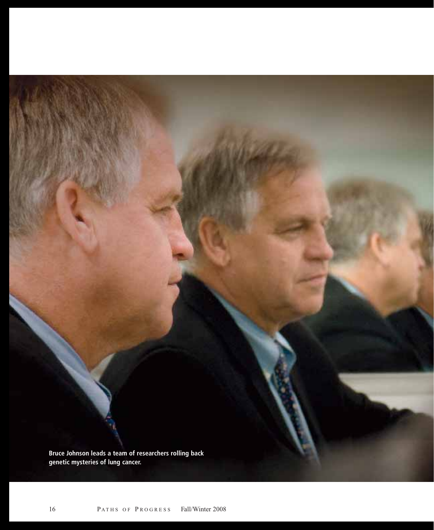**Bruce Johnson leads a team of researchers rolling back genetic mysteries of lung cancer.**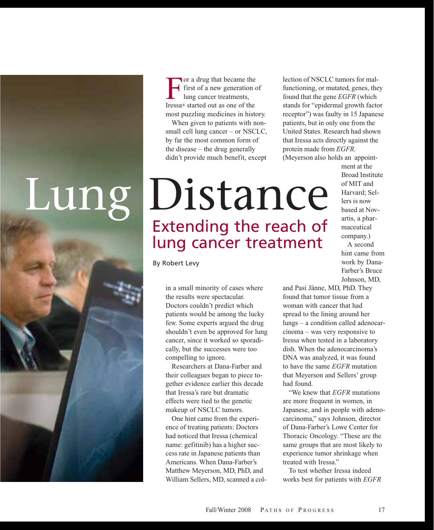

For a drug that became the<br>first of a new generation<br>lung cancer treatments,<br>Iressa® started out as one of the first of a new generation of lung cancer treatments, Iressa® started out as one of the most puzzling medicines in history.

When given to patients with nonsmall cell lung cancer – or NSCLC, by far the most common form of the disease – the drug generally didn't provide much benefit, except

lection of NSCLC tumors for malfunctioning, or mutated, genes, they found that the gene *EGFR* (which stands for "epidermal growth factor receptor") was faulty in 15 Japanese patients, but in only one from the United States. Research had shown that Iressa acts directly against the protein made from *EGFR.*

(Meyerson also holds an appoint-

# Lung Distance Extending the reach of lung cancer treatment

ment at the Broad Institute of MIT and Harvard; Sellers is now based at Novartis, a pharmaceutical company.)

A second hint came from work by Dana-Farber's Bruce Johnson, MD,

in a small minority of cases where the results were spectacular. Doctors couldn't predict which patients would be among the lucky few. Some experts argued the drug shouldn't even be approved for lung cancer, since it worked so sporadically, but the successes were too compelling to ignore.

By Robert Levy

Researchers at Dana-Farber and their colleagues began to piece together evidence earlier this decade that Iressa's rare but dramatic effects were tied to the genetic makeup of NSCLC tumors.

One hint came from the experience of treating patients: Doctors had noticed that Iressa (chemical name: gefitinib) has a higher success rate in Japanese patients than Americans. When Dana-Farber's Matthew Meyerson, MD, PhD, and William Sellers, MD, scanned a coland Pasi Jänne, MD, PhD. They found that tumor tissue from a woman with cancer that had spread to the lining around her lungs – a condition called adenocarcinoma – was very responsive to Iressa when tested in a laboratory dish. When the adenocarcinoma's DNA was analyzed, it was found to have the same *EGFR* mutation that Meyerson and Sellers' group had found.

"We knew that *EGFR* mutations are more frequent in women, in Japanese, and in people with adenocarcinoma," says Johnson, director of Dana-Farber's Lowe Center for Thoracic Oncology. "These are the same groups that are most likely to experience tumor shrinkage when treated with Iressa"

To test whether Iressa indeed works best for patients with *EGFR*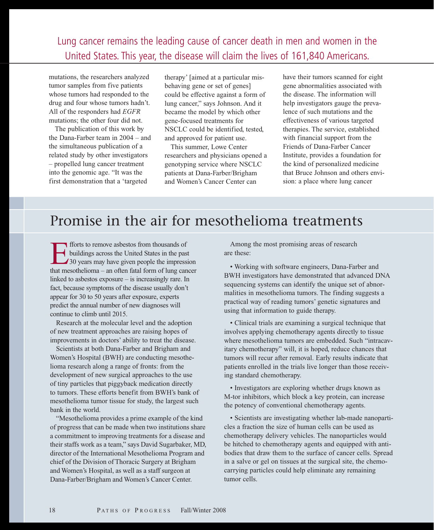Lung cancer remains the leading cause of cancer death in men and women in the United States. This year, the disease will claim the lives of 161,840 Americans.

mutations, the researchers analyzed tumor samples from five patients whose tumors had responded to the drug and four whose tumors hadn't. All of the responders had *EGFR* mutations; the other four did not.

The publication of this work by the Dana-Farber team in 2004 – and the simultaneous publication of a related study by other investigators – propelled lung cancer treatment into the genomic age. "It was the first demonstration that a 'targeted

therapy' [aimed at a particular misbehaving gene or set of genes] could be effective against a form of lung cancer," says Johnson. And it became the model by which other gene-focused treatments for NSCLC could be identified, tested, and approved for patient use.

This summer, Lowe Center researchers and physicians opened a genotyping service where NSCLC patients at Dana-Farber/Brigham and Women's Cancer Center can

have their tumors scanned for eight gene abnormalities associated with the disease. The information will help investigators gauge the prevalence of such mutations and the effectiveness of various targeted therapies. The service, established with financial support from the Friends of Dana-Farber Cancer Institute, provides a foundation for the kind of personalized medicine that Bruce Johnson and others envision: a place where lung cancer

## Promise in the air for mesothelioma treatments

Forts to remove asbestos from thousands of<br>buildings across the United States in the pas<br>30 years may have given people the impress<br>that mesothelioma – an often fatal form of lung can buildings across the United States in the past 130 years may have given people the impression that mesothelioma – an often fatal form of lung cancer linked to asbestos exposure – is increasingly rare. In fact, because symptoms of the disease usually don't appear for 30 to 50 years after exposure, experts predict the annual number of new diagnoses will continue to climb until 2015.

Research at the molecular level and the adoption of new treatment approaches are raising hopes of improvements in doctors' ability to treat the disease.

Scientists at both Dana-Farber and Brigham and Women's Hospital (BWH) are conducting mesothelioma research along a range of fronts: from the development of new surgical approaches to the use of tiny particles that piggyback medication directly to tumors. These efforts benefit from BWH's bank of mesothelioma tumor tissue for study, the largest such bank in the world.

"Mesothelioma provides a prime example of the kind of progress that can be made when two institutions share a commitment to improving treatments for a disease and their staffs work as a team," says David Sugarbaker, MD, director of the International Mesothelioma Program and chief of the Division of Thoracic Surgery at Brigham and Women's Hospital, as well as a staff surgeon at Dana-Farber/Brigham and Women's Cancer Center.

Among the most promising areas of research are these:

• Working with software engineers, Dana-Farber and BWH investigators have demonstrated that advanced DNA sequencing systems can identify the unique set of abnormalities in mesothelioma tumors. The finding suggests a practical way of reading tumors' genetic signatures and using that information to guide therapy.

• Clinical trials are examining a surgical technique that involves applying chemotherapy agents directly to tissue where mesothelioma tumors are embedded. Such "intracavitary chemotherapy" will, it is hoped, reduce chances that tumors will recur after removal. Early results indicate that patients enrolled in the trials live longer than those receiving standard chemotherapy.

• Investigators are exploring whether drugs known as M-tor inhibitors, which block a key protein, can increase the potency of conventional chemotherapy agents.

• Scientists are investigating whether lab-made nanoparticles a fraction the size of human cells can be used as chemotherapy delivery vehicles. The nanoparticles would be hitched to chemotherapy agents and equipped with antibodies that draw them to the surface of cancer cells. Spread in a salve or gel on tissues at the surgical site, the chemocarrying particles could help eliminate any remaining tumor cells.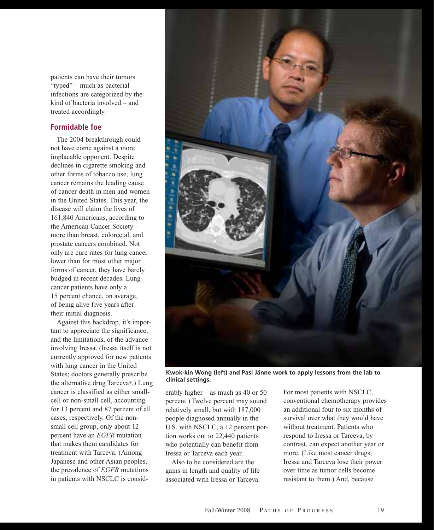patients can have their tumors "typed" – much as bacterial infections are categorized by the kind of bacteria involved – and treated accordingly.

#### **Formidable foe**

The 2004 breakthrough could not have come against a more implacable opponent. Despite declines in cigarette smoking and other forms of tobacco use, lung cancer remains the leading cause of cancer death in men and women in the United States. This year, the disease will claim the lives of 161,840 Americans, according to the American Cancer Society – more than breast, colorectal, and prostate cancers combined. Not only are cure rates for lung cancer lower than for most other major forms of cancer, they have barely budged in recent decades. Lung cancer patients have only a 15 percent chance, on average, of being alive five years after their initial diagnosis.

Against this backdrop, it's important to appreciate the significance, and the limitations, of the advance involving Iressa. (Iressa itself is not currently approved for new patients with lung cancer in the United States; doctors generally prescribe the alternative drug Tarceva®.) Lung cancer is classified as either smallcell or non-small cell, accounting for 13 percent and 87 percent of all cases, respectively. Of the nonsmall cell group, only about 12 percent have an *EGFR* mutation that makes them candidates for treatment with Tarceva. (Among Japanese and other Asian peoples, the prevalence of *EGFR* mutations in patients with NSCLC is consid-



**Kwok-kin Wong (left) and Pasi Jänne work to apply lessons from the lab to clinical settings.**

erably higher – as much as 40 or 50 percent.) Twelve percent may sound relatively small, but with 187,000 people diagnosed annually in the U.S. with NSCLC, a 12 percent portion works out to 22,440 patients who potentially can benefit from Iressa or Tarceva each year.

Also to be considered are the gains in length and quality of life associated with Iressa or Tarceva. For most patients with NSCLC, conventional chemotherapy provides an additional four to six months of survival over what they would have without treatment. Patients who respond to Iressa or Tarceva, by contrast, can expect another year or more. (Like most cancer drugs, Iressa and Tarceva lose their power over time as tumor cells become resistant to them.) And, because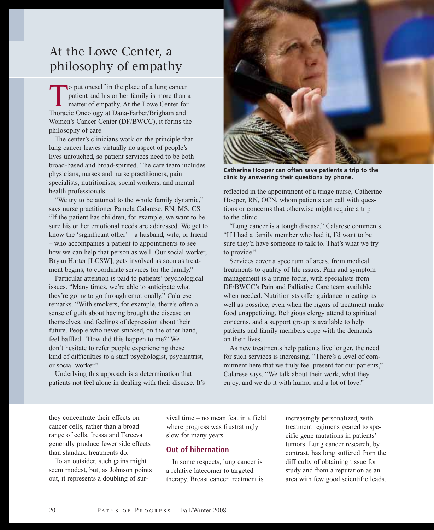## At the Lowe Center, a philosophy of empathy

To put oneself in the place of a lung cancer<br>patient and his or her family is more than<br>matter of empathy. At the Lowe Center for<br>Thoracic Oncology at Dana-Farber/Brigham and patient and his or her family is more than a matter of empathy. At the Lowe Center for Thoracic Oncology at Dana-Farber/Brigham and Women's Cancer Center (DF/BWCC), it forms the philosophy of care.

The center's clinicians work on the principle that lung cancer leaves virtually no aspect of people's lives untouched, so patient services need to be both broad-based and broad-spirited. The care team includes physicians, nurses and nurse practitioners, pain specialists, nutritionists, social workers, and mental health professionals.

"We try to be attuned to the whole family dynamic," says nurse practitioner Pamela Calarese, RN, MS, CS. "If the patient has children, for example, we want to be sure his or her emotional needs are addressed. We get to know the 'significant other' – a husband, wife, or friend – who accompanies a patient to appointments to see how we can help that person as well. Our social worker, Bryan Harter [LCSW], gets involved as soon as treatment begins, to coordinate services for the family."

Particular attention is paid to patients' psychological issues. "Many times, we're able to anticipate what they're going to go through emotionally," Calarese remarks. "With smokers, for example, there's often a sense of guilt about having brought the disease on themselves, and feelings of depression about their future. People who never smoked, on the other hand, feel baffled: 'How did this happen to me?' We don't hesitate to refer people experiencing these kind of difficulties to a staff psychologist, psychiatrist, or social worker."

Underlying this approach is a determination that patients not feel alone in dealing with their disease. It's



**Catherine Hooper can often save patients a trip to the clinic by answering their questions by phone.**

reflected in the appointment of a triage nurse, Catherine Hooper, RN, OCN, whom patients can call with questions or concerns that otherwise might require a trip to the clinic.

"Lung cancer is a tough disease," Calarese comments. "If I had a family member who had it, I'd want to be sure they'd have someone to talk to. That's what we try to provide."

Services cover a spectrum of areas, from medical treatments to quality of life issues. Pain and symptom management is a prime focus, with specialists from DF/BWCC's Pain and Palliative Care team available when needed. Nutritionists offer guidance in eating as well as possible, even when the rigors of treatment make food unappetizing. Religious clergy attend to spiritual concerns, and a support group is available to help patients and family members cope with the demands on their lives.

As new treatments help patients live longer, the need for such services is increasing. "There's a level of commitment here that we truly feel present for our patients," Calarese says. "We talk about their work, what they enjoy, and we do it with humor and a lot of love."

they concentrate their effects on cancer cells, rather than a broad range of cells, Iressa and Tarceva generally produce fewer side effects than standard treatments do.

To an outsider, such gains might seem modest, but, as Johnson points out, it represents a doubling of survival time – no mean feat in a field where progress was frustratingly slow for many years.

#### **Out of hibernation**

In some respects, lung cancer is a relative latecomer to targeted therapy. Breast cancer treatment is

increasingly personalized, with treatment regimens geared to specific gene mutations in patients' tumors. Lung cancer research, by contrast, has long suffered from the difficulty of obtaining tissue for study and from a reputation as an area with few good scientific leads.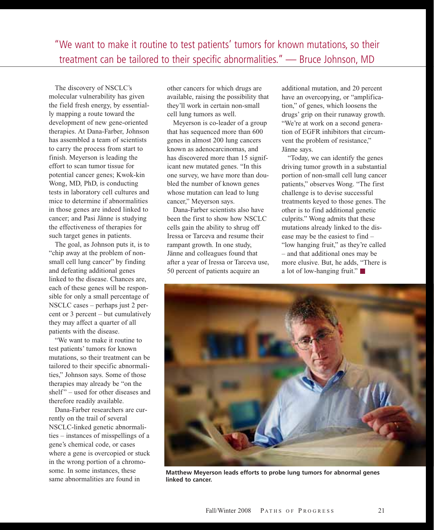The discovery of NSCLC's molecular vulnerability has given the field fresh energy, by essentially mapping a route toward the development of new gene-oriented therapies. At Dana-Farber, Johnson has assembled a team of scientists to carry the process from start to finish. Meyerson is leading the effort to scan tumor tissue for potential cancer genes; Kwok-kin Wong, MD, PhD, is conducting tests in laboratory cell cultures and mice to determine if abnormalities in those genes are indeed linked to cancer; and Pasi Jänne is studying the effectiveness of therapies for such target genes in patients.

The goal, as Johnson puts it, is to "chip away at the problem of nonsmall cell lung cancer" by finding and defeating additional genes linked to the disease. Chances are, each of these genes will be responsible for only a small percentage of NSCLC cases – perhaps just 2 percent or 3 percent – but cumulatively they may affect a quarter of all patients with the disease.

"We want to make it routine to test patients' tumors for known mutations, so their treatment can be tailored to their specific abnormalities," Johnson says. Some of those therapies may already be "on the shelf" – used for other diseases and therefore readily available.

Dana-Farber researchers are currently on the trail of several NSCLC-linked genetic abnormalities – instances of misspellings of a gene's chemical code, or cases where a gene is overcopied or stuck in the wrong portion of a chromosome. In some instances, these same abnormalities are found in

other cancers for which drugs are available, raising the possibility that they'll work in certain non-small cell lung tumors as well.

Meyerson is co-leader of a group that has sequenced more than 600 genes in almost 200 lung cancers known as adenocarcinomas, and has discovered more than 15 significant new mutated genes. "In this one survey, we have more than doubled the number of known genes whose mutation can lead to lung cancer," Meyerson says.

Dana-Farber scientists also have been the first to show how NSCLC cells gain the ability to shrug off Iressa or Tarceva and resume their rampant growth. In one study, Jänne and colleagues found that after a year of Iressa or Tarceva use, 50 percent of patients acquire an

additional mutation, and 20 percent have an overcopying, or "amplification," of genes, which loosens the drugs' grip on their runaway growth. "We're at work on a second generation of EGFR inhibitors that circumvent the problem of resistance," Jänne says.

"Today, we can identify the genes driving tumor growth in a substantial portion of non-small cell lung cancer patients," observes Wong. "The first challenge is to devise successful treatments keyed to those genes. The other is to find additional genetic culprits." Wong admits that these mutations already linked to the disease may be the easiest to find – "low hanging fruit," as they're called – and that additional ones may be more elusive. But, he adds, "There is a lot of low-hanging fruit."



**Matthew Meyerson leads efforts to probe lung tumors for abnormal genes linked to cancer.**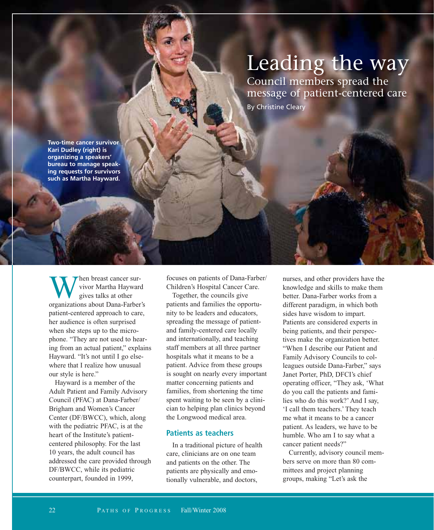# Leading the way

Council members spread the message of patient-centered care

By Christine Cleary

**Two-time cancer survivor Kari Dudley (right) is organizing a speakers' bureau to manage speaking requests for survivors such as Martha Hayward.**

When breast cancer survivor Martha Hayward<br>gives talks at other<br>organizations about Dana-Farber's vivor Martha Hayward gives talks at other patient-centered approach to care, her audience is often surprised when she steps up to the microphone. "They are not used to hearing from an actual patient," explains Hayward. "It's not until I go elsewhere that I realize how unusual our style is here."

Hayward is a member of the Adult Patient and Family Advisory Council (PFAC) at Dana-Farber/ Brigham and Women's Cancer Center (DF/BWCC), which, along with the pediatric PFAC, is at the heart of the Institute's patientcentered philosophy. For the last 10 years, the adult council has addressed the care provided through DF/BWCC, while its pediatric counterpart, founded in 1999,

focuses on patients of Dana-Farber/ Children's Hospital Cancer Care.

Together, the councils give patients and families the opportunity to be leaders and educators, spreading the message of patientand family-centered care locally and internationally, and teaching staff members at all three partner hospitals what it means to be a patient. Advice from these groups is sought on nearly every important matter concerning patients and families, from shortening the time spent waiting to be seen by a clinician to helping plan clinics beyond the Longwood medical area.

#### **Patients as teachers**

In a traditional picture of health care, clinicians are on one team and patients on the other. The patients are physically and emotionally vulnerable, and doctors,

nurses, and other providers have the knowledge and skills to make them better. Dana-Farber works from a different paradigm, in which both sides have wisdom to impart. Patients are considered experts in being patients, and their perspectives make the organization better. "When I describe our Patient and Family Advisory Councils to colleagues outside Dana-Farber," says Janet Porter, PhD, DFCI's chief operating officer, "They ask, 'What do you call the patients and families who do this work?' And I say, 'I call them teachers.' They teach me what it means to be a cancer patient. As leaders, we have to be humble. Who am I to say what a cancer patient needs?"

Currently, advisory council members serve on more than 80 committees and project planning groups, making "Let's ask the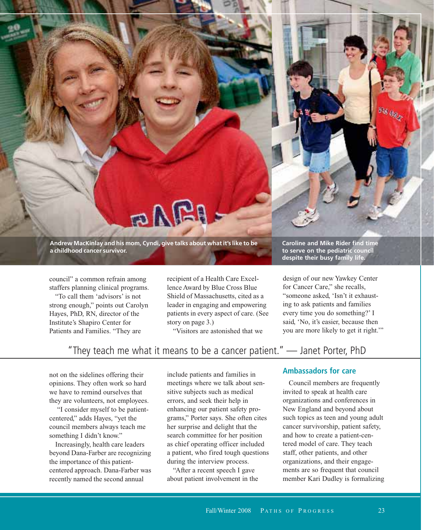**Andrew MacKinlay and his mom, Cyndi, give talks about what it's like to be a childhood cancer survivor.**

BARI

council" a common refrain among staffers planning clinical programs.

"To call them 'advisors' is not strong enough," points out Carolyn Hayes, PhD, RN, director of the Institute's Shapiro Center for Patients and Families. "They are

recipient of a Health Care Excellence Award by Blue Cross Blue Shield of Massachusetts, cited as a leader in engaging and empowering patients in every aspect of care. (See story on page 3.)

"Visitors are astonished that we

**Caroline and Mike Rider find time to serve on the pediatric council despite their busy family life.**

528 a.

design of our new Yawkey Center for Cancer Care," she recalls, "someone asked, 'Isn't it exhausting to ask patients and families every time you do something?' I said, 'No, it's easier, because then you are more likely to get it right.'"

### "They teach me what it means to be a cancer patient." — Janet Porter, PhD

not on the sidelines offering their opinions. They often work so hard we have to remind ourselves that they are volunteers, not employees.

"I consider myself to be patientcentered," adds Hayes, "yet the council members always teach me something I didn't know."

Increasingly, health care leaders beyond Dana-Farber are recognizing the importance of this patientcentered approach. Dana-Farber was recently named the second annual

include patients and families in meetings where we talk about sensitive subjects such as medical errors, and seek their help in enhancing our patient safety programs," Porter says. She often cites her surprise and delight that the search committee for her position as chief operating officer included a patient, who fired tough questions during the interview process.

"After a recent speech I gave about patient involvement in the

#### **Ambassadors for care**

Council members are frequently invited to speak at health care organizations and conferences in New England and beyond about such topics as teen and young adult cancer survivorship, patient safety, and how to create a patient-centered model of care. They teach staff, other patients, and other organizations, and their engagements are so frequent that council member Kari Dudley is formalizing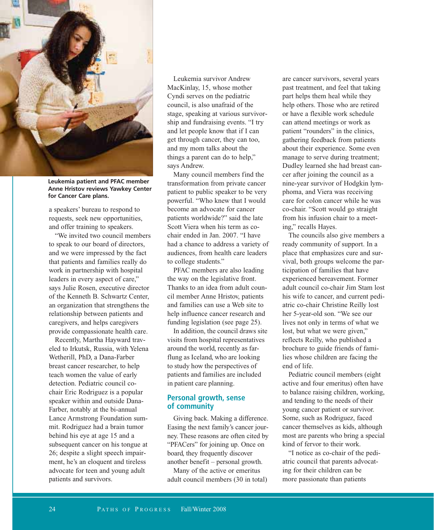

**Leukemia patient and PFAC member Anne Hristov reviews Yawkey Center for Cancer Care plans.**

a speakers' bureau to respond to requests, seek new opportunities, and offer training to speakers.

"We invited two council members to speak to our board of directors, and we were impressed by the fact that patients and families really do work in partnership with hospital leaders in every aspect of care," says Julie Rosen, executive director of the Kenneth B. Schwartz Center, an organization that strengthens the relationship between patients and caregivers, and helps caregivers provide compassionate health care.

Recently, Martha Hayward traveled to Irkutsk, Russia, with Yelena Wetherill, PhD, a Dana-Farber breast cancer researcher, to help teach women the value of early detection. Pediatric council cochair Eric Rodriguez is a popular speaker within and outside Dana-Farber, notably at the bi-annual Lance Armstrong Foundation summit. Rodriguez had a brain tumor behind his eye at age 15 and a subsequent cancer on his tongue at 26; despite a slight speech impairment, he's an eloquent and tireless advocate for teen and young adult patients and survivors.

Leukemia survivor Andrew MacKinlay, 15, whose mother Cyndi serves on the pediatric council, is also unafraid of the stage, speaking at various survivorship and fundraising events. "I try and let people know that if I can get through cancer, they can too, and my mom talks about the things a parent can do to help," says Andrew.

Many council members find the transformation from private cancer patient to public speaker to be very powerful. "Who knew that I would become an advocate for cancer patients worldwide?" said the late Scott Viera when his term as cochair ended in Jan. 2007. "I have had a chance to address a variety of audiences, from health care leaders to college students."

PFAC members are also leading the way on the legislative front. Thanks to an idea from adult council member Anne Hristov, patients and families can use a Web site to help influence cancer research and funding legislation (see page 25).

In addition, the council draws site visits from hospital representatives around the world, recently as farflung as Iceland, who are looking to study how the perspectives of patients and families are included in patient care planning.

#### **Personal growth, sense of community**

Giving back. Making a difference. Easing the next family's cancer journey. These reasons are often cited by "PFACers" for joining up. Once on board, they frequently discover another benefit – personal growth.

Many of the active or emeritus adult council members (30 in total)

are cancer survivors, several years past treatment, and feel that taking part helps them heal while they help others. Those who are retired or have a flexible work schedule can attend meetings or work as patient "rounders" in the clinics, gathering feedback from patients about their experience. Some even manage to serve during treatment; Dudley learned she had breast cancer after joining the council as a nine-year survivor of Hodgkin lymphoma, and Viera was receiving care for colon cancer while he was co-chair. "Scott would go straight from his infusion chair to a meeting," recalls Hayes.

The councils also give members a ready community of support. In a place that emphasizes cure and survival, both groups welcome the participation of families that have experienced bereavement. Former adult council co-chair Jim Stam lost his wife to cancer, and current pediatric co-chair Christine Reilly lost her 5-year-old son. "We see our lives not only in terms of what we lost, but what we were given," reflects Reilly, who published a brochure to guide friends of families whose children are facing the end of life.

Pediatric council members (eight active and four emeritus) often have to balance raising children, working, and tending to the needs of their young cancer patient or survivor. Some, such as Rodriguez, faced cancer themselves as kids, although most are parents who bring a special kind of fervor to their work.

"I notice as co-chair of the pediatric council that parents advocating for their children can be more passionate than patients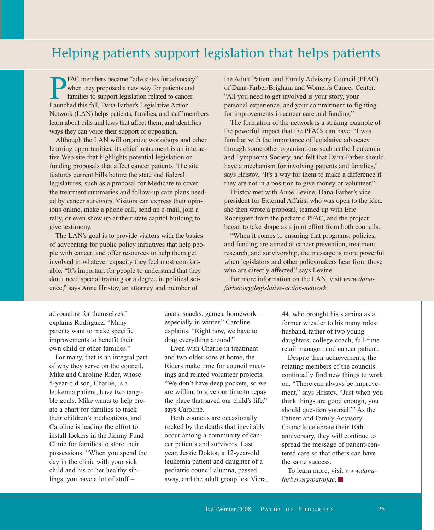### Helping patients support legislation that helps patients

**PFAC** members became "advocates for advocacy"<br>when they proposed a new way for patients and<br>families to support legislation related to cancer.<br>Launched this fall. Dana-Farber's Legislative Action when they proposed a new way for patients and families to support legislation related to cancer. Launched this fall, Dana-Farber's Legislative Action Network (LAN) helps patients, families, and staff members learn about bills and laws that affect them, and identifies ways they can voice their support or opposition.

Although the LAN will organize workshops and other learning opportunities, its chief instrument is an interactive Web site that highlights potential legislation or funding proposals that affect cancer patients. The site features current bills before the state and federal legislatures, such as a proposal for Medicare to cover the treatment summaries and follow-up care plans needed by cancer survivors. Visitors can express their opinions online, make a phone call, send an e-mail, join a rally, or even show up at their state capitol building to give testimony.

The LAN's goal is to provide visitors with the basics of advocating for public policy initiatives that help people with cancer, and offer resources to help them get involved in whatever capacity they feel most comfortable. "It's important for people to understand that they don't need special training or a degree in political science," says Anne Hristov, an attorney and member of

the Adult Patient and Family Advisory Council (PFAC) of Dana-Farber/Brigham and Women's Cancer Center. "All you need to get involved is your story, your personal experience, and your commitment to fighting for improvements in cancer care and funding."

The formation of the network is a striking example of the powerful impact that the PFACs can have. "I was familiar with the importance of legislative advocacy through some other organizations such as the Leukemia and Lymphoma Society, and felt that Dana-Farber should have a mechanism for involving patients and families," says Hristov. "It's a way for them to make a difference if they are not in a position to give money or volunteer."

Hristov met with Anne Levine, Dana-Farber's vice president for External Affairs, who was open to the idea; she then wrote a proposal, teamed up with Eric Rodriguez from the pediatric PFAC, and the project began to take shape as a joint effort from both councils.

"When it comes to ensuring that programs, policies, and funding are aimed at cancer prevention, treatment, research, and survivorship, the message is more powerful when legislators and other policymakers hear from those who are directly affected," says Levine.

For more information on the LAN, visit *www.danafarber.org/legislative-action-network.*

advocating for themselves," explains Rodriguez. "Many parents want to make specific improvements to benefit their own child or other families."

For many, that is an integral part of why they serve on the council. Mike and Caroline Rider, whose 5-year-old son, Charlie, is a leukemia patient, have two tangible goals. Mike wants to help create a chart for families to track their children's medications, and Caroline is leading the effort to install lockers in the Jimmy Fund Clinic for families to store their possessions. "When you spend the day in the clinic with your sick child and his or her healthy siblings, you have a lot of stuff –

coats, snacks, games, homework – especially in winter," Caroline explains. "Right now, we have to drag everything around."

Even with Charlie in treatment and two older sons at home, the Riders make time for council meetings and related volunteer projects. "We don't have deep pockets, so we are willing to give our time to repay the place that saved our child's life," says Caroline.

Both councils are occasionally rocked by the deaths that inevitably occur among a community of cancer patients and survivors. Last year, Jessie Doktor, a 12-year-old leukemia patient and daughter of a pediatric council alumna, passed away, and the adult group lost Viera, 44, who brought his stamina as a former wrestler to his many roles: husband, father of two young daughters, college coach, full-time retail manager, and cancer patient.

Despite their achievements, the rotating members of the councils continually find new things to work on. "There can always be improvement," says Hristov. "Just when you think things are good enough, you should question yourself." As the Patient and Family Advisory Councils celebrate their 10th anniversary, they will continue to spread the message of patient-centered care so that others can have the same success.

To learn more, visit *www.danafarber.org/pat/pfac.*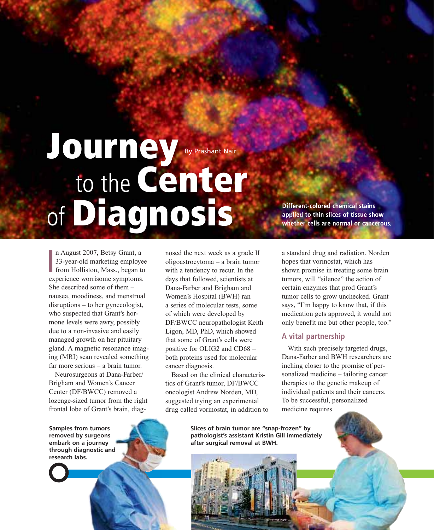# **Journey** to the **Center** of **Diagnosis** By Prashant Nair

**I** n August 2007, Betsy Grant, a 33-year-old marketing employee from Holliston, Mass., began to experience worrisome symptoms. She described some of them – nausea, moodiness, and menstrual disruptions – to her gynecologist, who suspected that Grant's hormone levels were awry, possibly due to a non-invasive and easily managed growth on her pituitary gland. A magnetic resonance imaging (MRI) scan revealed something far more serious – a brain tumor.

Neurosurgeons at Dana-Farber/ Brigham and Women's Cancer Center (DF/BWCC) removed a lozenge-sized tumor from the right frontal lobe of Grant's brain, diagnosed the next week as a grade II oligoastrocytoma – a brain tumor with a tendency to recur. In the days that followed, scientists at Dana-Farber and Brigham and Women's Hospital (BWH) ran a series of molecular tests, some of which were developed by DF/BWCC neuropathologist Keith Ligon, MD, PhD, which showed that some of Grant's cells were positive for OLIG2 and CD68 – both proteins used for molecular cancer diagnosis.

Based on the clinical characteristics of Grant's tumor, DF/BWCC oncologist Andrew Norden, MD, suggested trying an experimental drug called vorinostat, in addition to

**Different-colored chemical stains applied to thin slices of tissue show whether cells are normal or cancerous.**

a standard drug and radiation. Norden hopes that vorinostat, which has shown promise in treating some brain tumors, will "silence" the action of certain enzymes that prod Grant's tumor cells to grow unchecked. Grant says, "I'm happy to know that, if this medication gets approved, it would not only benefit me but other people, too."

#### **A vital partnership**

With such precisely targeted drugs, Dana-Farber and BWH researchers are inching closer to the promise of personalized medicine – tailoring cancer therapies to the genetic makeup of individual patients and their cancers. To be successful, personalized medicine requires

**Samples from tumors removed by surgeons embark on a journey through diagnostic and research labs.**

**Slices of brain tumor are "snap-frozen" by pathologist's assistant Kristin Gill immediately after surgical removal at BWH.**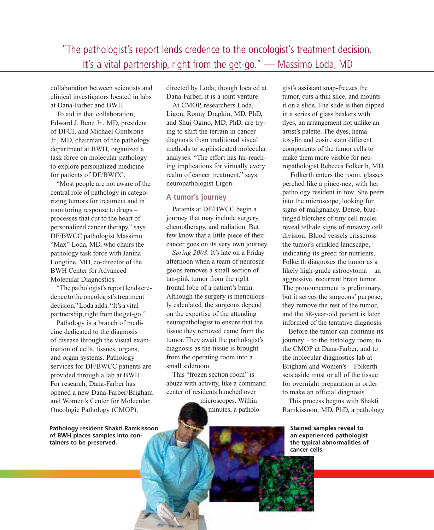"The pathologist's report lends credence to the oncologist's treatment decision. It's a vital partnership, right from the get-go." — Massimo Loda, MD

collaboration between scientists and clinical investigators located in labs at Dana-Farber and BWH.

To aid in that collaboration, Edward J. Benz Jr., MD, president of DFCI, and Michael Gimbrone Jr., MD, chairman of the pathology department at BWH, organized a task force on molecular pathology to explore personalized medicine for patients of DF/BWCC.

"Most people are not aware of the central role of pathology in categorizing tumors for treatment and in monitoring response to drugs – processes that cut to the heart of personalized cancer therapy," says DF/BWCC pathologist Massimo "Max" Loda, MD, who chairs the pathology task force with Janina Longtine, MD, co-director of the BWH Center for Advanced Molecular Diagnostics.

"The pathologist's report lends credence to the oncologist's treatment decision,"Loda adds. "It's a vital partnership, right fromthe get-go."

Pathology is a branch of medicine dedicated to the diagnosis of disease through the visual examination of cells, tissues, organs, and organ systems. Pathology services for DF/BWCC patients are provided through a lab at BWH. For research, Dana-Farber has opened a new Dana-Farber/Brigham and Women's Center for Molecular Oncologic Pathology (CMOP),

**Pathology resident Shakti Ramkissoon of BWH places samples into containers to be preserved.**

directed by Loda; though located at Dana-Farber, it is a joint venture.

At CMOP, researchers Loda, Ligon, Ronny Drapkin, MD, PhD, and Shuj Ogino, MD, PhD, are trying to shift the terrain in cancer diagnosis from traditional visual methods to sophisticated molecular analyses. "The effort has far-reaching implications for virtually every realm of cancer treatment," says neuropathologist Ligon.

#### **A tumor's journey**

Patients at DF/BWCC begin a journey that may include surgery, chemotherapy, and radiation. But few know that a little piece of their cancer goes on its very own journey.

*Spring 2008*. It's late on a Friday afternoon when a team of neurosurgeons removes a small section of tan-pink tumor from the right frontal lobe of a patient's brain. Although the surgery is meticulously calculated, the surgeons depend on the expertise of the attending neuropathologist to ensure that the tissue they removed came from the tumor. They await the pathologist's diagnosis as the tissue is brought from the operating room into a small sideroom.

This "frozen section room" is abuzz with activity, like a command center of residents hunched over

microscopes. Within minutes, a patholo-

gist's assistant snap-freezes the tumor, cuts a thin slice, and mounts it on a slide. The slide is then dipped in a series of glass beakers with dyes, an arrangement not unlike an artist's palette. The dyes, hematoxylin and eosin, stain different components of the tumor cells to make them more visible for neuropathologist Rebecca Folkerth, MD.

Folkerth enters the room, glasses perched like a pince-nez, with her pathology resident in tow. She peers into the microscope, looking for signs of malignancy. Dense, bluetinged blotches of tiny cell nuclei reveal telltale signs of runaway cell division. Blood vessels crisscross the tumor's crinkled landscape, indicating its greed for nutrients. Folkerth diagnoses the tumor as a likely high-grade astrocytoma – an aggressive, recurrent brain tumor. The pronouncement is preliminary, but it serves the surgeons' purpose; they remove the rest of the tumor, and the 58-year-old patient is later informed of the tentative diagnosis.

Before the tumor can continue its journey – to the histology room, to the CMOP at Dana-Farber, and to the molecular diagnostics lab at Brigham and Women's – Folkerth sets aside most or all of the tissue for overnight preparation in order to make an official diagnosis.

This process begins with Shakti Ramkissoon, MD, PhD, a pathology

**Stained samples reveal to an experienced pathologist the typical abnormalities of cancer cells.**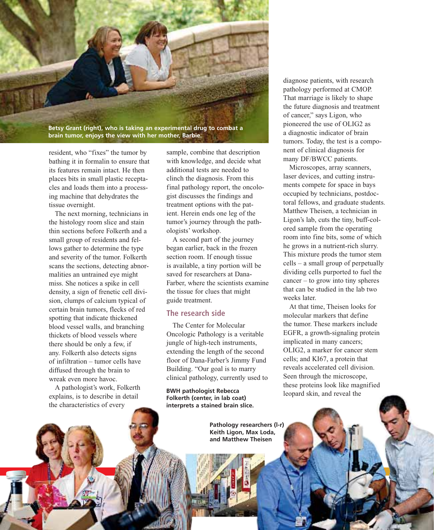

**brain tumor, enjoys the view with her mother, Barbie.**

resident, who "fixes" the tumor by bathing it in formalin to ensure that its features remain intact. He then places bits in small plastic receptacles and loads them into a processing machine that dehydrates the tissue overnight.

The next morning, technicians in the histology room slice and stain thin sections before Folkerth and a small group of residents and fellows gather to determine the type and severity of the tumor. Folkerth scans the sections, detecting abnormalities an untrained eye might miss. She notices a spike in cell density, a sign of frenetic cell division, clumps of calcium typical of certain brain tumors, flecks of red spotting that indicate thickened blood vessel walls, and branching thickets of blood vessels where there should be only a few, if any. Folkerth also detects signs of infiltration – tumor cells have diffused through the brain to wreak even more havoc.

A pathologist's work, Folkerth explains, is to describe in detail the characteristics of every

28 P ATHS OF P ROGERS FALL/WINDS FALL/WINDS FALL/WINDS FALL/WINDS

sample, combine that description with knowledge, and decide what additional tests are needed to clinch the diagnosis. From this final pathology report, the oncologist discusses the findings and treatment options with the patient. Herein ends one leg of the tumor's journey through the pathologists' workshop.

A second part of the journey began earlier, back in the frozen section room. If enough tissue is available, a tiny portion will be saved for researchers at Dana-Farber, where the scientists examine the tissue for clues that might guide treatment.

#### **The research side**

The Center for Molecular Oncologic Pathology is a veritable jungle of high-tech instruments, extending the length of the second floor of Dana-Farber's Jimmy Fund Building. "Our goal is to marry clinical pathology, currently used to

**BWH pathologist Rebecca** leopard skin, and reveal the **BWH** pathologist Rebecca **Folkerth (center, in lab coat) interprets a stained brain slice.**

> **Pathology researchers (l-r) Keith Ligon, Max Loda, and Matthew Theisen**

diagnose patients, with research pathology performed at CMOP. That marriage is likely to shape the future diagnosis and treatment of cancer," says Ligon, who pioneered the use of OLIG2 as a diagnostic indicator of brain tumors. Today, the test is a component of clinical diagnosis for many DF/BWCC patients.

Microscopes, array scanners, laser devices, and cutting instruments compete for space in bays occupied by technicians, postdoctoral fellows, and graduate students. Matthew Theisen, a technician in Ligon's lab, cuts the tiny, buff-colored sample from the operating room into fine bits, some of which he grows in a nutrient-rich slurry. This mixture prods the tumor stem cells – a small group of perpetually dividing cells purported to fuel the cancer – to grow into tiny spheres that can be studied in the lab two weeks later.

At that time, Theisen looks for molecular markers that define the tumor. These markers include EGFR, a growth-signaling protein implicated in many cancers; OLIG2, a marker for cancer stem cells; and KI67, a protein that reveals accelerated cell division. Seen through the microscope, these proteins look like magnified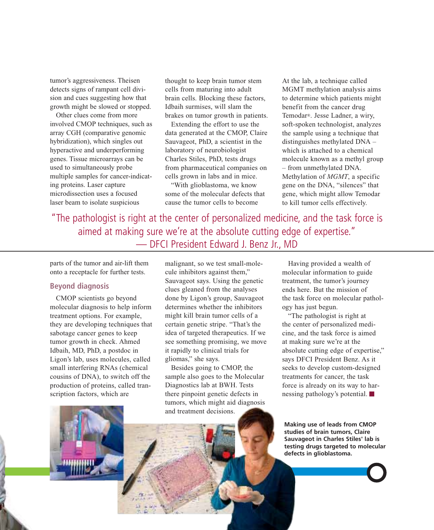tumor's aggressiveness. Theisen detects signs of rampant cell division and cues suggesting how that growth might be slowed or stopped.

Other clues come from more involved CMOP techniques, such as array CGH (comparative genomic hybridization), which singles out hyperactive and underperforming genes. Tissue microarrays can be used to simultaneously probe multiple samples for cancer-indicating proteins. Laser capture microdissection uses a focused laser beam to isolate suspicious

thought to keep brain tumor stem cells from maturing into adult brain cells. Blocking these factors, Idbaih surmises, will slam the brakes on tumor growth in patients.

Extending the effort to use the data generated at the CMOP, Claire Sauvageot, PhD, a scientist in the laboratory of neurobiologist Charles Stiles, PhD, tests drugs from pharmaceutical companies on cells grown in labs and in mice.

"With glioblastoma, we know some of the molecular defects that cause the tumor cells to become

At the lab, a technique called MGMT methylation analysis aims to determine which patients might benefit from the cancer drug Temodar®. Jesse Ladner, a wiry, soft-spoken technologist, analyzes the sample using a technique that distinguishes methylated DNA – which is attached to a chemical molecule known as a methyl group – from unmethylated DNA. Methylation of *MGMT*, a specific gene on the DNA, "silences" that gene, which might allow Temodar to kill tumor cells effectively.

"The pathologist is right at the center of personalized medicine, and the task force is aimed at making sure we're at the absolute cutting edge of expertise." — DFCI President Edward J. Benz Jr., MD

parts of the tumor and air-lift them onto a receptacle for further tests.

#### **Beyond diagnosis**

CMOP scientists go beyond molecular diagnosis to help inform treatment options. For example, they are developing techniques that sabotage cancer genes to keep tumor growth in check. Ahmed Idbaih, MD, PhD, a postdoc in Ligon's lab, uses molecules, called small interfering RNAs (chemical cousins of DNA), to switch off the production of proteins, called transcription factors, which are

malignant, so we test small-molecule inhibitors against them," Sauvageot says. Using the genetic clues gleaned from the analyses done by Ligon's group, Sauvageot determines whether the inhibitors might kill brain tumor cells of a certain genetic stripe. "That's the idea of targeted therapeutics. If we see something promising, we move it rapidly to clinical trials for gliomas," she says.

Besides going to CMOP, the sample also goes to the Molecular Diagnostics lab at BWH. Tests there pinpoint genetic defects in tumors, which might aid diagnosis and treatment decisions.

Having provided a wealth of molecular information to guide treatment, the tumor's journey ends here. But the mission of the task force on molecular pathology has just begun.

"The pathologist is right at the center of personalized medicine, and the task force is aimed at making sure we're at the absolute cutting edge of expertise," says DFCI President Benz. As it seeks to develop custom-designed treatments for cancer, the task force is already on its way to harnessing pathology's potential.

**Making use of leads from CMOP studies of brain tumors, Claire Sauvageot in Charles Stiles' lab is testing drugs targeted to molecular defects in glioblastoma.**

Fally Winter 2008 P ATHS OF P ROGERS 2008 P ATHS OF P ROGERS 2008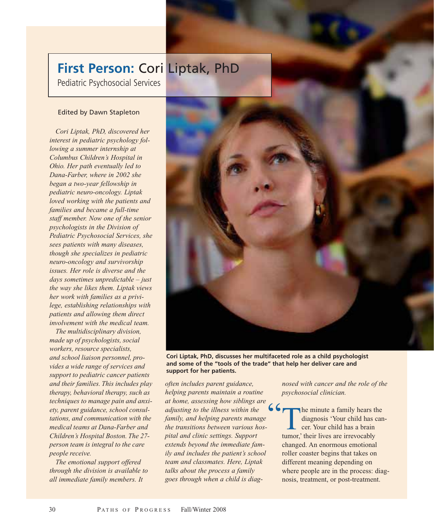## **First Person:** Cori Liptak, PhD

Pediatric Psychosocial Services

#### Edited by Dawn Stapleton

*Cori Liptak, PhD, discovered her interest in pediatric psychology following a summer internship at Columbus Children's Hospital in Ohio. Her path eventually led to Dana-Farber, where in 2002 she began a two-year fellowship in pediatric neuro-oncology. Liptak loved working with the patients and families and became a full-time staff member. Now one of the senior psychologists in the Division of Pediatric Psychosocial Services, she sees patients with many diseases, though she specializes in pediatric neuro-oncology and survivorship issues. Her role is diverse and the days sometimes unpredictable – just the way she likes them. Liptak views her work with families as a privilege, establishing relationships with patients and allowing them direct involvement with the medical team.*

*The multidisciplinary division, made up of psychologists, social workers, resource specialists, and school liaison personnel, provides a wide range of services and support to pediatric cancer patients and their families. This includes play therapy, behavioral therapy, such as techniques to manage pain and anxiety, parent guidance, school consultations, and communication with the medical teams at Dana-Farber and Children's Hospital Boston. The 27 person team is integral to the care people receive.*

*The emotional support offered through the division is available to all immediate family members. It*



**Cori Liptak, PhD, discusses her multifaceted role as a child psychologist and some of the "tools of the trade" that help her deliver care and support for her patients.**

*often includes parent guidance, helping parents maintain a routine at home, assessing how siblings are adjusting to the illness within the family, and helping parents manage the transitions between various hospital and clinic settings. Support extends beyond the immediate family and includes the patient's school team and classmates. Here, Liptak talks about the process a family goes through when a child is diag-*"

*nosed with cancer and the role of the psychosocial clinician.*

The minute a family hears the diagnosis 'Your child has cancer. Your child has a brain tumor,' their lives are irrevocably changed. An enormous emotional roller coaster begins that takes on different meaning depending on where people are in the process: diagnosis, treatment, or post-treatment.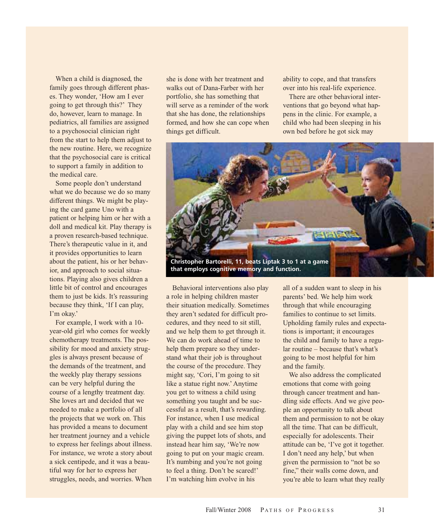When a child is diagnosed, the family goes through different phases. They wonder, 'How am I ever going to get through this?' They do, however, learn to manage. In pediatrics, all families are assigned to a psychosocial clinician right from the start to help them adjust to the new routine. Here, we recognize that the psychosocial care is critical to support a family in addition to the medical care.

Some people don't understand what we do because we do so many different things. We might be playing the card game Uno with a patient or helping him or her with a doll and medical kit. Play therapy is a proven research-based technique. There's therapeutic value in it, and it provides opportunities to learn about the patient, his or her behavior, and approach to social situations. Playing also gives children a little bit of control and encourages them to just be kids. It's reassuring because they think, 'If I can play, I'm okay.'

For example, I work with a 10 year-old girl who comes for weekly chemotherapy treatments. The possibility for mood and anxiety struggles is always present because of the demands of the treatment, and the weekly play therapy sessions can be very helpful during the course of a lengthy treatment day. She loves art and decided that we needed to make a portfolio of all the projects that we work on. This has provided a means to document her treatment journey and a vehicle to express her feelings about illness. For instance, we wrote a story about a sick centipede, and it was a beautiful way for her to express her struggles, needs, and worries. When

she is done with her treatment and walks out of Dana-Farber with her portfolio, she has something that will serve as a reminder of the work that she has done, the relationships formed, and how she can cope when things get difficult.

ability to cope, and that transfers over into his real-life experience.

There are other behavioral interventions that go beyond what happens in the clinic. For example, a child who had been sleeping in his own bed before he got sick may



Behavioral interventions also play a role in helping children master their situation medically. Sometimes they aren't sedated for difficult procedures, and they need to sit still, and we help them to get through it. We can do work ahead of time to help them prepare so they understand what their job is throughout the course of the procedure. They might say, 'Cori, I'm going to sit like a statue right now.' Anytime you get to witness a child using something you taught and be successful as a result, that's rewarding. For instance, when I use medical play with a child and see him stop giving the puppet lots of shots, and instead hear him say, 'We're now going to put on your magic cream. It's numbing and you're not going to feel a thing. Don't be scared!' I'm watching him evolve in his

all of a sudden want to sleep in his parents' bed. We help him work through that while encouraging families to continue to set limits. Upholding family rules and expectations is important; it encourages the child and family to have a regular routine – because that's what's going to be most helpful for him and the family.

We also address the complicated emotions that come with going through cancer treatment and handling side effects. And we give people an opportunity to talk about them and permission to not be okay all the time. That can be difficult, especially for adolescents. Their attitude can be, 'I've got it together. I don't need any help,' but when given the permission to "not be so fine," their walls come down, and you're able to learn what they really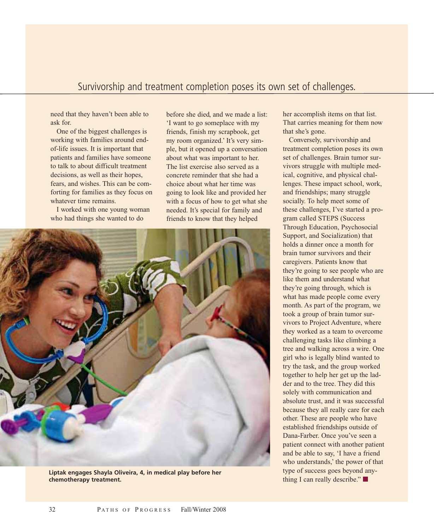### Survivorship and treatment completion poses its own set of challenges.

need that they haven't been able to ask for.

One of the biggest challenges is working with families around endof-life issues. It is important that patients and families have someone to talk to about difficult treatment decisions, as well as their hopes, fears, and wishes. This can be comforting for families as they focus on whatever time remains.

I worked with one young woman who had things she wanted to do

before she died, and we made a list: 'I want to go someplace with my friends, finish my scrapbook, get my room organized.' It's very simple, but it opened up a conversation about what was important to her. The list exercise also served as a concrete reminder that she had a choice about what her time was going to look like and provided her with a focus of how to get what she needed. It's special for family and friends to know that they helped



**Liptak engages Shayla Oliveira, 4, in medical play before her chemotherapy treatment.**

her accomplish items on that list. That carries meaning for them now that she's gone.

Conversely, survivorship and treatment completion poses its own set of challenges. Brain tumor survivors struggle with multiple medical, cognitive, and physical challenges. These impact school, work, and friendships; many struggle socially. To help meet some of these challenges, I've started a program called STEPS (Success Through Education, Psychosocial Support, and Socialization) that holds a dinner once a month for brain tumor survivors and their caregivers. Patients know that they're going to see people who are like them and understand what they're going through, which is what has made people come every month. As part of the program, we took a group of brain tumor survivors to Project Adventure, where they worked as a team to overcome challenging tasks like climbing a tree and walking across a wire. One girl who is legally blind wanted to try the task, and the group worked together to help her get up the ladder and to the tree. They did this solely with communication and absolute trust, and it was successful because they all really care for each other. These are people who have established friendships outside of Dana-Farber. Once you've seen a patient connect with another patient and be able to say, 'I have a friend who understands,' the power of that type of success goes beyond anything I can really describe." $\blacksquare$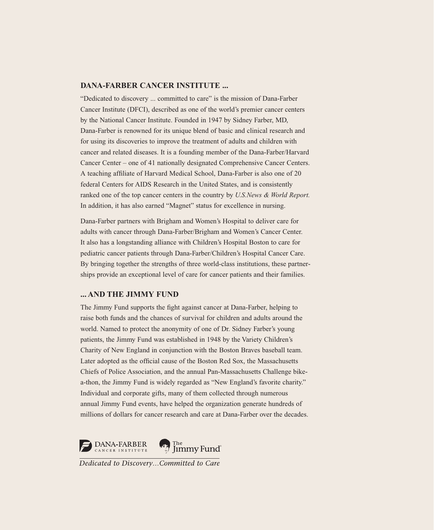#### **DANA-FARBER CANCER INSTITUTE ...**

"Dedicated to discovery ... committed to care" is the mission of Dana-Farber Cancer Institute (DFCI), described as one of the world's premier cancer centers by the National Cancer Institute. Founded in 1947 by Sidney Farber, MD, Dana-Farber is renowned for its unique blend of basic and clinical research and for using its discoveries to improve the treatment of adults and children with cancer and related diseases. It is a founding member of the Dana-Farber/Harvard Cancer Center – one of 41 nationally designated Comprehensive Cancer Centers. A teaching affiliate of Harvard Medical School, Dana-Farber is also one of 20 federal Centers for AIDS Research in the United States, and is consistently ranked one of the top cancer centers in the country by *U.S.News & World Report.* In addition, it has also earned "Magnet" status for excellence in nursing.

Dana-Farber partners with Brigham and Women's Hospital to deliver care for adults with cancer through Dana-Farber/Brigham and Women's Cancer Center. It also has a longstanding alliance with Children's Hospital Boston to care for pediatric cancer patients through Dana-Farber/Children's Hospital Cancer Care. By bringing together the strengths of three world-class institutions, these partnerships provide an exceptional level of care for cancer patients and their families.

#### **... AND THE JIMMY FUND**

The Jimmy Fund supports the fight against cancer at Dana-Farber, helping to raise both funds and the chances of survival for children and adults around the world. Named to protect the anonymity of one of Dr. Sidney Farber's young patients, the Jimmy Fund was established in 1948 by the Variety Children's Charity of New England in conjunction with the Boston Braves baseball team. Later adopted as the official cause of the Boston Red Sox, the Massachusetts Chiefs of Police Association, and the annual Pan-Massachusetts Challenge bikea-thon, the Jimmy Fund is widely regarded as "New England's favorite charity." Individual and corporate gifts, many of them collected through numerous annual Jimmy Fund events, have helped the organization generate hundreds of millions of dollars for cancer research and care at Dana-Farber over the decades.



Dedicated to Discovery...Committed to Care